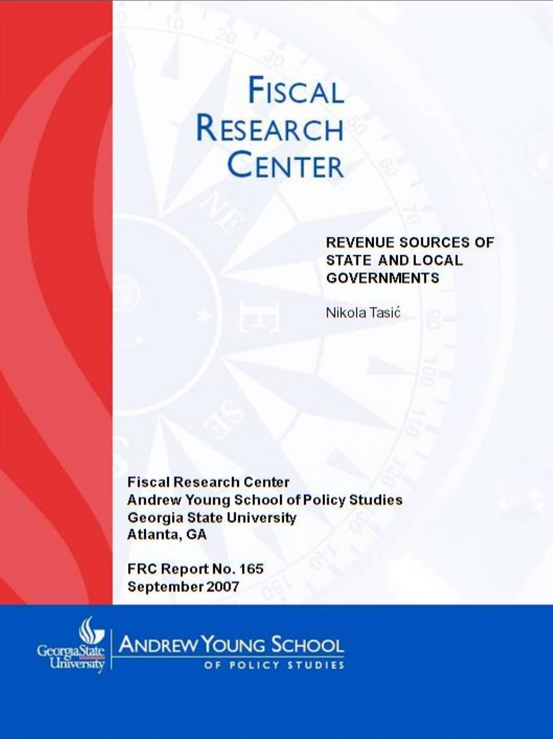# **FISCAL RESEARCH CENTER**

**REVENUE SOURCES OF STATE AND LOCAL GOVERNMENTS** 

Nikola Tasić

**Fiscal Research Center Andrew Young School of Policy Studies Georgia State University** Atlanta, GA

FRC Report No. 165 September 2007



**ANDREW YOUNG SCHOOL** OF POLICY STUDIES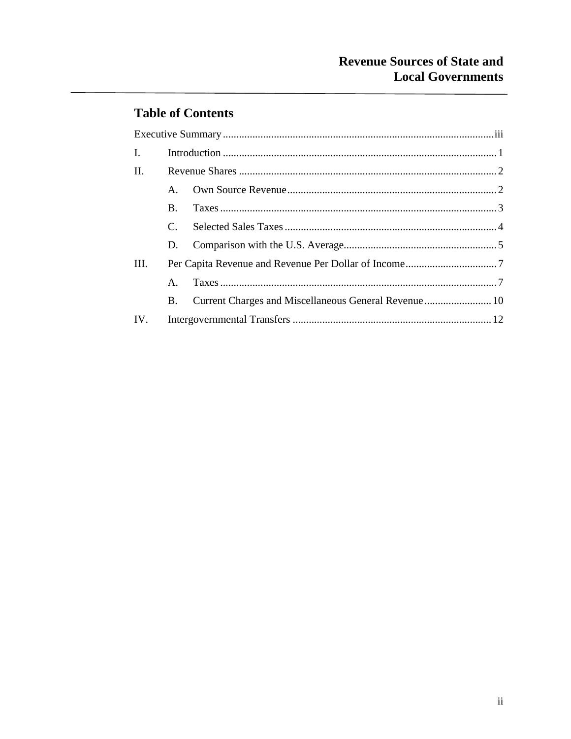## **Table of Contents**

| $\mathbf{I}$ . |               |                                                      |  |
|----------------|---------------|------------------------------------------------------|--|
| П.             |               |                                                      |  |
|                | $A_{1}$       |                                                      |  |
|                | $\bf{B}$ .    |                                                      |  |
|                | $\mathcal{C}$ |                                                      |  |
|                | $D_{\cdot}$   |                                                      |  |
| III.           |               |                                                      |  |
|                | $A_{\cdot}$   |                                                      |  |
|                | B.            | Current Charges and Miscellaneous General Revenue 10 |  |
| IV.            |               |                                                      |  |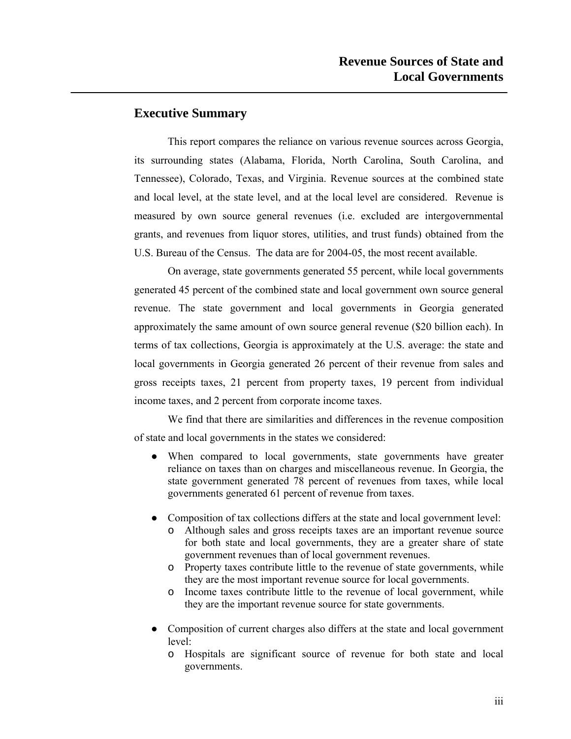### **Executive Summary**

This report compares the reliance on various revenue sources across Georgia, its surrounding states (Alabama, Florida, North Carolina, South Carolina, and Tennessee), Colorado, Texas, and Virginia. Revenue sources at the combined state and local level, at the state level, and at the local level are considered. Revenue is measured by own source general revenues (i.e. excluded are intergovernmental grants, and revenues from liquor stores, utilities, and trust funds) obtained from the U.S. Bureau of the Census. The data are for 2004-05, the most recent available.

On average, state governments generated 55 percent, while local governments generated 45 percent of the combined state and local government own source general revenue. The state government and local governments in Georgia generated approximately the same amount of own source general revenue (\$20 billion each). In terms of tax collections, Georgia is approximately at the U.S. average: the state and local governments in Georgia generated 26 percent of their revenue from sales and gross receipts taxes, 21 percent from property taxes, 19 percent from individual income taxes, and 2 percent from corporate income taxes.

We find that there are similarities and differences in the revenue composition of state and local governments in the states we considered:

- When compared to local governments, state governments have greater reliance on taxes than on charges and miscellaneous revenue. In Georgia, the state government generated 78 percent of revenues from taxes, while local governments generated 61 percent of revenue from taxes.
- Composition of tax collections differs at the state and local government level:
	- o Although sales and gross receipts taxes are an important revenue source for both state and local governments, they are a greater share of state government revenues than of local government revenues.
	- o Property taxes contribute little to the revenue of state governments, while they are the most important revenue source for local governments.
	- o Income taxes contribute little to the revenue of local government, while they are the important revenue source for state governments.
- Composition of current charges also differs at the state and local government level:
	- o Hospitals are significant source of revenue for both state and local governments.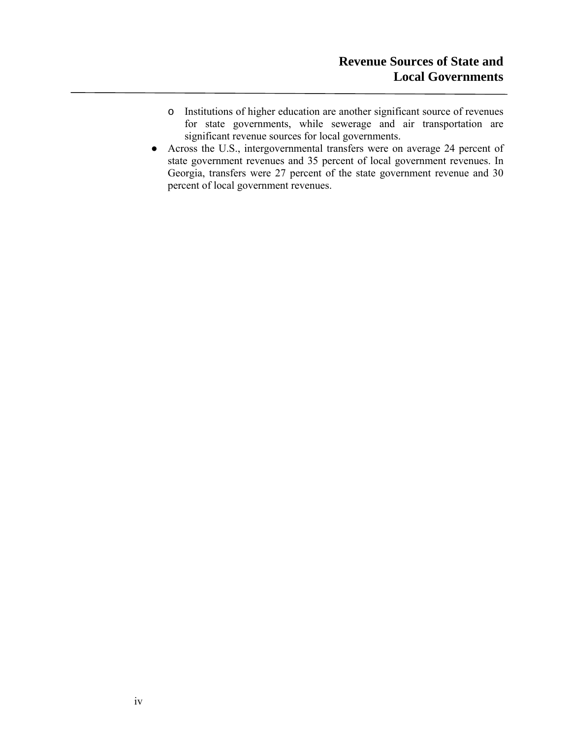- o Institutions of higher education are another significant source of revenues for state governments, while sewerage and air transportation are significant revenue sources for local governments.
- Across the U.S., intergovernmental transfers were on average 24 percent of state government revenues and 35 percent of local government revenues. In Georgia, transfers were 27 percent of the state government revenue and 30 percent of local government revenues.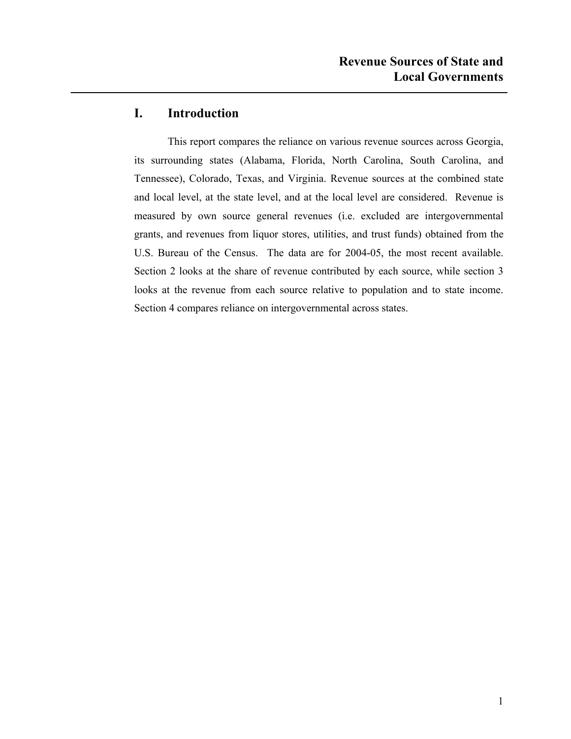### **I. Introduction**

This report compares the reliance on various revenue sources across Georgia, its surrounding states (Alabama, Florida, North Carolina, South Carolina, and Tennessee), Colorado, Texas, and Virginia. Revenue sources at the combined state and local level, at the state level, and at the local level are considered. Revenue is measured by own source general revenues (i.e. excluded are intergovernmental grants, and revenues from liquor stores, utilities, and trust funds) obtained from the U.S. Bureau of the Census. The data are for 2004-05, the most recent available. Section 2 looks at the share of revenue contributed by each source, while section 3 looks at the revenue from each source relative to population and to state income. Section 4 compares reliance on intergovernmental across states.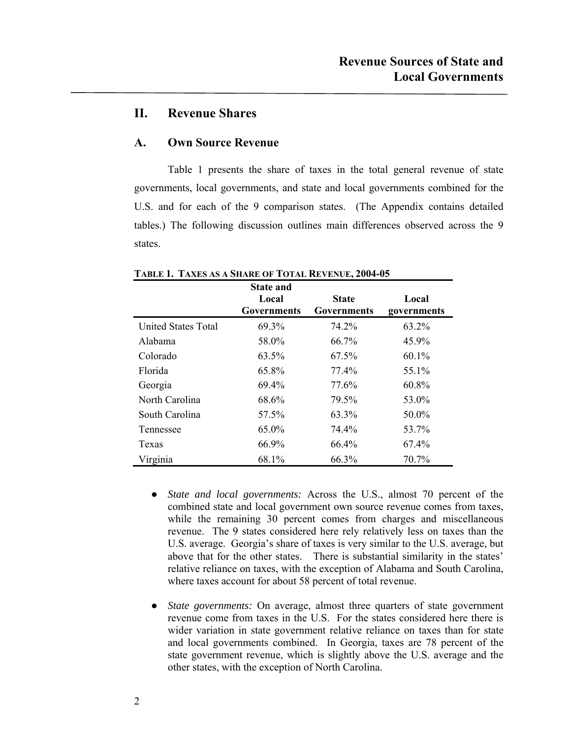### **II. Revenue Shares**

### **A. Own Source Revenue**

Table 1 presents the share of taxes in the total general revenue of state governments, local governments, and state and local governments combined for the U.S. and for each of the 9 comparison states. (The Appendix contains detailed tables.) The following discussion outlines main differences observed across the 9 states.

|                            | <b>State and</b><br>Local<br>Governments | <b>State</b><br>Governments | Local<br>governments |
|----------------------------|------------------------------------------|-----------------------------|----------------------|
| <b>United States Total</b> | 69.3%                                    | 74.2%                       | 63.2%                |
| Alabama                    | 58.0%                                    | 66.7%                       | 45.9%                |
| Colorado                   | 63.5%                                    | 67.5%                       | $60.1\%$             |
| Florida                    | 65.8%                                    | 77.4%                       | 55.1%                |
| Georgia                    | 69.4%                                    | 77.6%                       | 60.8%                |
| North Carolina             | 68.6%                                    | 79.5%                       | 53.0%                |
| South Carolina             | 57.5%                                    | 63.3%                       | 50.0%                |
| Tennessee                  | 65.0%                                    | 74.4%                       | 53.7%                |
| Texas                      | 66.9%                                    | 66.4%                       | 67.4%                |
| Virginia                   | 68.1%                                    | 66.3%                       | 70.7%                |

**TABLE 1. TAXES AS A SHARE OF TOTAL REVENUE, 2004-05** 

- **●** *State and local governments:* Across the U.S., almost 70 percent of the combined state and local government own source revenue comes from taxes, while the remaining 30 percent comes from charges and miscellaneous revenue. The 9 states considered here rely relatively less on taxes than the U.S. average. Georgia's share of taxes is very similar to the U.S. average, but above that for the other states. There is substantial similarity in the states' relative reliance on taxes, with the exception of Alabama and South Carolina, where taxes account for about 58 percent of total revenue.
- **●** *State governments:* On average, almost three quarters of state government revenue come from taxes in the U.S. For the states considered here there is wider variation in state government relative reliance on taxes than for state and local governments combined. In Georgia, taxes are 78 percent of the state government revenue, which is slightly above the U.S. average and the other states, with the exception of North Carolina.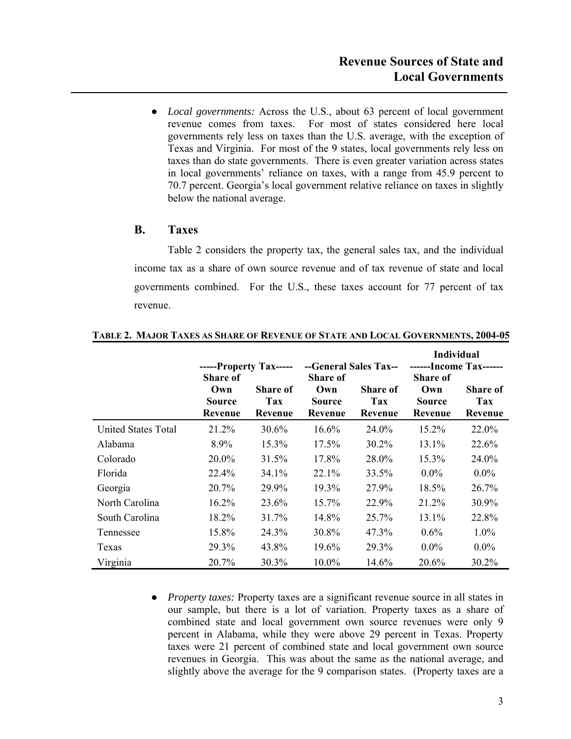**●** *Local governments:* Across the U.S., about 63 percent of local government revenue comes from taxes. For most of states considered here local governments rely less on taxes than the U.S. average, with the exception of Texas and Virginia. For most of the 9 states, local governments rely less on taxes than do state governments. There is even greater variation across states in local governments' reliance on taxes, with a range from 45.9 percent to 70.7 percent. Georgia's local government relative reliance on taxes in slightly below the national average.

### **B. Taxes**

Table 2 considers the property tax, the general sales tax, and the individual income tax as a share of own source revenue and of tax revenue of state and local governments combined. For the U.S., these taxes account for 77 percent of tax revenue.

|                            |                 |                        |                 |                       | <b>Individual</b>      |                 |
|----------------------------|-----------------|------------------------|-----------------|-----------------------|------------------------|-----------------|
|                            |                 | -----Property Tax----- |                 | --General Sales Tax-- | ------Income Tax------ |                 |
|                            | <b>Share of</b> |                        | <b>Share of</b> |                       | <b>Share of</b>        |                 |
|                            | Own             | <b>Share of</b>        | Own             | <b>Share of</b>       | Own                    | <b>Share of</b> |
|                            | Source          | Tax                    | <b>Source</b>   | Tax                   | Source                 | <b>Tax</b>      |
|                            | Revenue         | Revenue                | Revenue         | Revenue               | Revenue                | Revenue         |
| <b>United States Total</b> | 21.2%           | 30.6%                  | $16.6\%$        | 24.0%                 | 15.2%                  | 22.0%           |
| Alabama                    | 8.9%            | 15.3%                  | $17.5\%$        | 30.2%                 | 13.1%                  | 22.6%           |
| Colorado                   | 20.0%           | 31.5%                  | 17.8%           | 28.0%                 | 15.3%                  | 24.0%           |
| Florida                    | 22.4%           | $34.1\%$               | $22.1\%$        | 33.5%                 | $0.0\%$                | $0.0\%$         |
| Georgia                    | 20.7%           | 29.9%                  | 19.3%           | 27.9%                 | 18.5%                  | 26.7%           |
| North Carolina             | 16.2%           | 23.6%                  | 15.7%           | 22.9%                 | 21.2%                  | 30.9%           |
| South Carolina             | 18.2%           | 31.7%                  | 14.8%           | 25.7%                 | 13.1%                  | 22.8%           |
| Tennessee                  | 15.8%           | 24.3%                  | 30.8%           | 47.3%                 | $0.6\%$                | $1.0\%$         |
| Texas                      | 29.3%           | 43.8%                  | 19.6%           | 29.3%                 | $0.0\%$                | $0.0\%$         |
| Virginia                   | 20.7%           | 30.3%                  | $10.0\%$        | 14.6%                 | 20.6%                  | 30.2%           |

**TABLE 2. MAJOR TAXES AS SHARE OF REVENUE OF STATE AND LOCAL GOVERNMENTS, 2004-05** 

**●** *Property taxes:* Property taxes are a significant revenue source in all states in our sample, but there is a lot of variation. Property taxes as a share of combined state and local government own source revenues were only 9 percent in Alabama, while they were above 29 percent in Texas. Property taxes were 21 percent of combined state and local government own source revenues in Georgia. This was about the same as the national average, and slightly above the average for the 9 comparison states. (Property taxes are a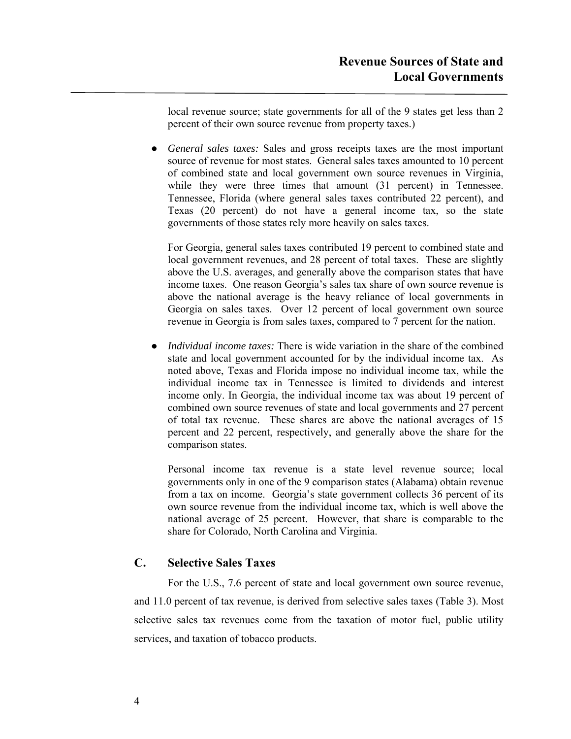local revenue source; state governments for all of the 9 states get less than 2 percent of their own source revenue from property taxes.)

**●** *General sales taxes:* Sales and gross receipts taxes are the most important source of revenue for most states. General sales taxes amounted to 10 percent of combined state and local government own source revenues in Virginia, while they were three times that amount (31 percent) in Tennessee. Tennessee, Florida (where general sales taxes contributed 22 percent), and Texas (20 percent) do not have a general income tax, so the state governments of those states rely more heavily on sales taxes.

For Georgia, general sales taxes contributed 19 percent to combined state and local government revenues, and 28 percent of total taxes. These are slightly above the U.S. averages, and generally above the comparison states that have income taxes. One reason Georgia's sales tax share of own source revenue is above the national average is the heavy reliance of local governments in Georgia on sales taxes. Over 12 percent of local government own source revenue in Georgia is from sales taxes, compared to 7 percent for the nation.

**●** *Individual income taxes:* There is wide variation in the share of the combined state and local government accounted for by the individual income tax. As noted above, Texas and Florida impose no individual income tax, while the individual income tax in Tennessee is limited to dividends and interest income only. In Georgia, the individual income tax was about 19 percent of combined own source revenues of state and local governments and 27 percent of total tax revenue. These shares are above the national averages of 15 percent and 22 percent, respectively, and generally above the share for the comparison states.

Personal income tax revenue is a state level revenue source; local governments only in one of the 9 comparison states (Alabama) obtain revenue from a tax on income. Georgia's state government collects 36 percent of its own source revenue from the individual income tax, which is well above the national average of 25 percent. However, that share is comparable to the share for Colorado, North Carolina and Virginia.

### **C. Selective Sales Taxes**

For the U.S., 7.6 percent of state and local government own source revenue, and 11.0 percent of tax revenue, is derived from selective sales taxes (Table 3). Most selective sales tax revenues come from the taxation of motor fuel, public utility services, and taxation of tobacco products.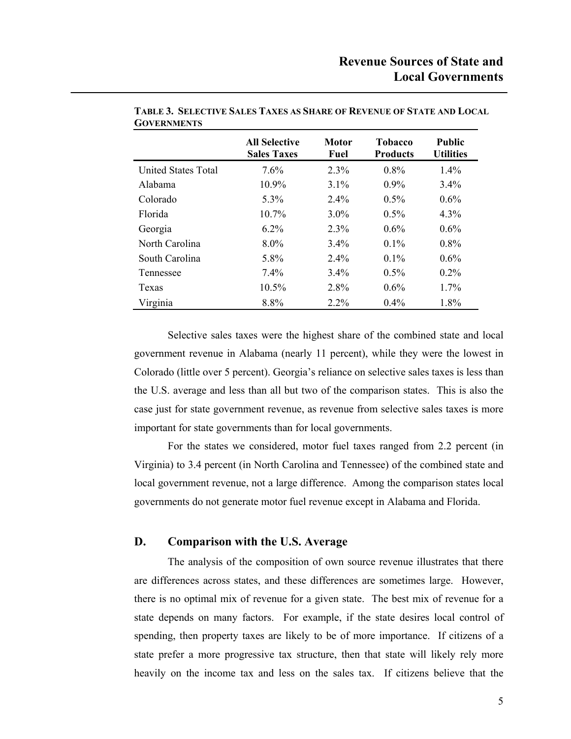|                            | <b>All Selective</b><br><b>Sales Taxes</b> | <b>Motor</b><br>Fuel | <b>Tobacco</b><br><b>Products</b> | <b>Public</b><br><b>Utilities</b> |
|----------------------------|--------------------------------------------|----------------------|-----------------------------------|-----------------------------------|
| <b>United States Total</b> | 7.6%                                       | 2.3%                 | $0.8\%$                           | $1.4\%$                           |
| Alabama                    | 10.9%                                      | $3.1\%$              | $0.9\%$                           | 3.4%                              |
| Colorado                   | 5.3%                                       | $2.4\%$              | $0.5\%$                           | $0.6\%$                           |
| <b>Florida</b>             | $10.7\%$                                   | $3.0\%$              | $0.5\%$                           | 4.3%                              |
| Georgia                    | $6.2\%$                                    | 2.3%                 | $0.6\%$                           | $0.6\%$                           |
| North Carolina             | $8.0\%$                                    | $3.4\%$              | $0.1\%$                           | $0.8\%$                           |
| South Carolina             | 5.8%                                       | $2.4\%$              | $0.1\%$                           | $0.6\%$                           |
| Tennessee                  | $7.4\%$                                    | 3.4%                 | $0.5\%$                           | $0.2\%$                           |
| Texas                      | $10.5\%$                                   | 2.8%                 | $0.6\%$                           | $1.7\%$                           |
| Virginia                   | 8.8%                                       | $2.2\%$              | 0.4%                              | 1.8%                              |

**TABLE 3. SELECTIVE SALES TAXES AS SHARE OF REVENUE OF STATE AND LOCAL GOVERNMENTS**

Selective sales taxes were the highest share of the combined state and local government revenue in Alabama (nearly 11 percent), while they were the lowest in Colorado (little over 5 percent). Georgia's reliance on selective sales taxes is less than the U.S. average and less than all but two of the comparison states. This is also the case just for state government revenue, as revenue from selective sales taxes is more important for state governments than for local governments.

For the states we considered, motor fuel taxes ranged from 2.2 percent (in Virginia) to 3.4 percent (in North Carolina and Tennessee) of the combined state and local government revenue, not a large difference. Among the comparison states local governments do not generate motor fuel revenue except in Alabama and Florida.

### **D. Comparison with the U.S. Average**

The analysis of the composition of own source revenue illustrates that there are differences across states, and these differences are sometimes large. However, there is no optimal mix of revenue for a given state. The best mix of revenue for a state depends on many factors. For example, if the state desires local control of spending, then property taxes are likely to be of more importance. If citizens of a state prefer a more progressive tax structure, then that state will likely rely more heavily on the income tax and less on the sales tax. If citizens believe that the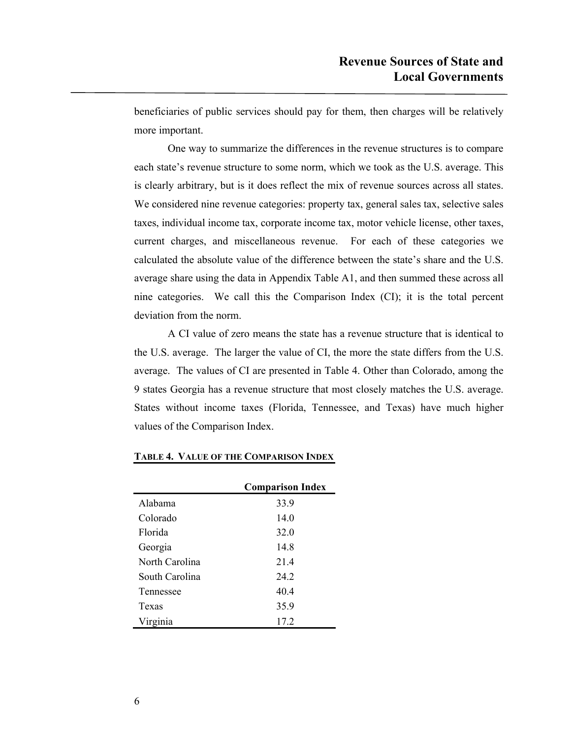beneficiaries of public services should pay for them, then charges will be relatively more important.

One way to summarize the differences in the revenue structures is to compare each state's revenue structure to some norm, which we took as the U.S. average. This is clearly arbitrary, but is it does reflect the mix of revenue sources across all states. We considered nine revenue categories: property tax, general sales tax, selective sales taxes, individual income tax, corporate income tax, motor vehicle license, other taxes, current charges, and miscellaneous revenue. For each of these categories we calculated the absolute value of the difference between the state's share and the U.S. average share using the data in Appendix Table A1, and then summed these across all nine categories. We call this the Comparison Index (CI); it is the total percent deviation from the norm.

A CI value of zero means the state has a revenue structure that is identical to the U.S. average. The larger the value of CI, the more the state differs from the U.S. average. The values of CI are presented in Table 4. Other than Colorado, among the 9 states Georgia has a revenue structure that most closely matches the U.S. average. States without income taxes (Florida, Tennessee, and Texas) have much higher values of the Comparison Index.

|                | <b>Comparison Index</b> |
|----------------|-------------------------|
| Alabama        | 33.9                    |
| Colorado       | 14.0                    |
| Florida        | 32.0                    |
| Georgia        | 14.8                    |
| North Carolina | 21.4                    |
| South Carolina | 24 2                    |
| Tennessee      | 40.4                    |
| Texas          | 35.9                    |
| Virginia       | 17.2                    |

### **TABLE 4. VALUE OF THE COMPARISON INDEX**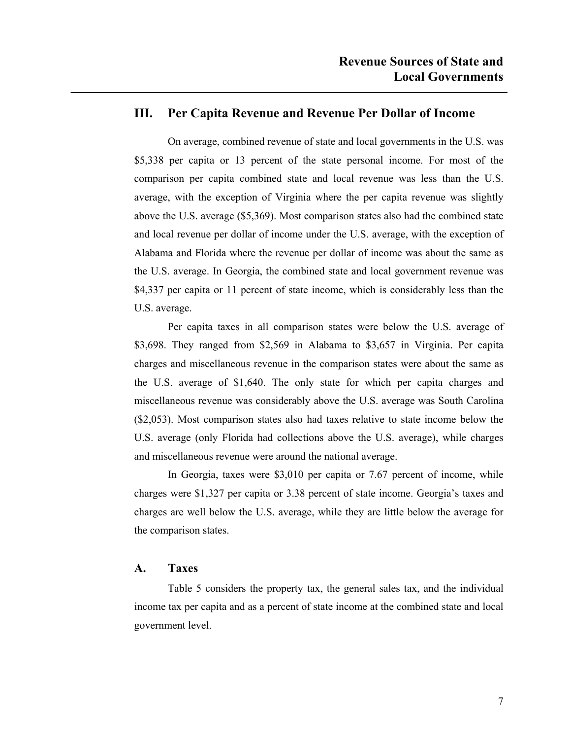### **III. Per Capita Revenue and Revenue Per Dollar of Income**

On average, combined revenue of state and local governments in the U.S. was \$5,338 per capita or 13 percent of the state personal income. For most of the comparison per capita combined state and local revenue was less than the U.S. average, with the exception of Virginia where the per capita revenue was slightly above the U.S. average (\$5,369). Most comparison states also had the combined state and local revenue per dollar of income under the U.S. average, with the exception of Alabama and Florida where the revenue per dollar of income was about the same as the U.S. average. In Georgia, the combined state and local government revenue was \$4,337 per capita or 11 percent of state income, which is considerably less than the U.S. average.

Per capita taxes in all comparison states were below the U.S. average of \$3,698. They ranged from \$2,569 in Alabama to \$3,657 in Virginia. Per capita charges and miscellaneous revenue in the comparison states were about the same as the U.S. average of \$1,640. The only state for which per capita charges and miscellaneous revenue was considerably above the U.S. average was South Carolina (\$2,053). Most comparison states also had taxes relative to state income below the U.S. average (only Florida had collections above the U.S. average), while charges and miscellaneous revenue were around the national average.

In Georgia, taxes were \$3,010 per capita or 7.67 percent of income, while charges were \$1,327 per capita or 3.38 percent of state income. Georgia's taxes and charges are well below the U.S. average, while they are little below the average for the comparison states.

### **A. Taxes**

Table 5 considers the property tax, the general sales tax, and the individual income tax per capita and as a percent of state income at the combined state and local government level.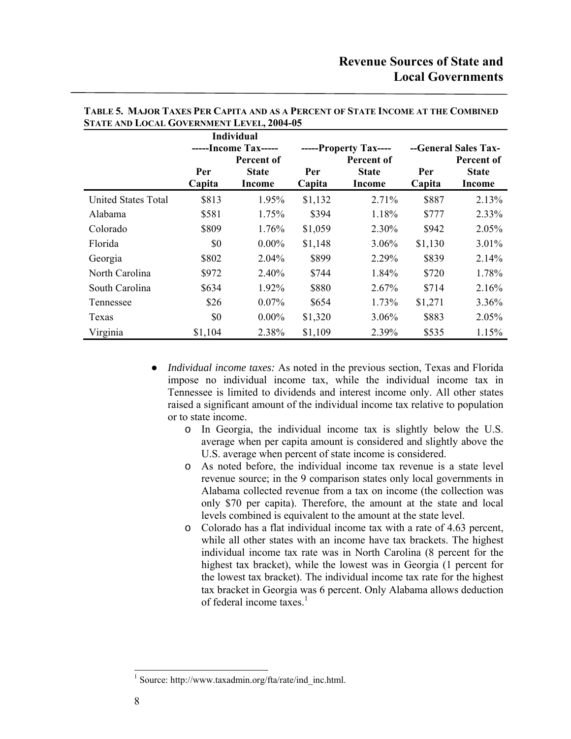|                            |               | <b>Individual</b>                  |               |                                     |               |                                    |
|----------------------------|---------------|------------------------------------|---------------|-------------------------------------|---------------|------------------------------------|
|                            |               | -----Income Tax-----<br>Percent of |               | -----Property Tax----<br>Percent of |               | --General Sales Tax-<br>Percent of |
|                            | Per<br>Capita | <b>State</b><br><b>Income</b>      | Per<br>Capita | <b>State</b><br>Income              | Per<br>Capita | <b>State</b><br>Income             |
| <b>United States Total</b> | \$813         | 1.95%                              | \$1,132       | 2.71%                               | \$887         | 2.13%                              |
| Alabama                    | \$581         | 1.75%                              | \$394         | 1.18%                               | \$777         | 2.33%                              |
| Colorado                   | \$809         | 1.76%                              | \$1,059       | 2.30%                               | \$942         | 2.05%                              |
| Florida                    | \$0           | $0.00\%$                           | \$1,148       | 3.06%                               | \$1,130       | 3.01%                              |
| Georgia                    | \$802         | 2.04%                              | \$899         | 2.29%                               | \$839         | 2.14%                              |
| North Carolina             | \$972         | 2.40%                              | \$744         | 1.84%                               | \$720         | 1.78%                              |
| South Carolina             | \$634         | 1.92%                              | \$880         | 2.67%                               | \$714         | 2.16%                              |
| Tennessee                  | \$26          | $0.07\%$                           | \$654         | 1.73%                               | \$1,271       | 3.36%                              |
| Texas                      | \$0           | $0.00\%$                           | \$1,320       | $3.06\%$                            | \$883         | 2.05%                              |
| Virginia                   | \$1,104       | 2.38%                              | \$1,109       | 2.39%                               | \$535         | 1.15%                              |

#### **TABLE 5. MAJOR TAXES PER CAPITA AND AS A PERCENT OF STATE INCOME AT THE COMBINED STATE AND LOCAL GOVERNMENT LEVEL, 2004-05**

- **●** *Individual income taxes:* As noted in the previous section, Texas and Florida impose no individual income tax, while the individual income tax in Tennessee is limited to dividends and interest income only. All other states raised a significant amount of the individual income tax relative to population or to state income.
	- o In Georgia, the individual income tax is slightly below the U.S. average when per capita amount is considered and slightly above the U.S. average when percent of state income is considered.
	- o As noted before, the individual income tax revenue is a state level revenue source; in the 9 comparison states only local governments in Alabama collected revenue from a tax on income (the collection was only \$70 per capita). Therefore, the amount at the state and local levels combined is equivalent to the amount at the state level.
	- o Colorado has a flat individual income tax with a rate of 4.63 percent, while all other states with an income have tax brackets. The highest individual income tax rate was in North Carolina (8 percent for the highest tax bracket), while the lowest was in Georgia (1 percent for the lowest tax bracket). The individual income tax rate for the highest tax bracket in Georgia was 6 percent. Only Alabama allows deduction of federal income taxes. $<sup>1</sup>$ </sup>

 $\overline{a}$ 

<sup>1</sup> Source: http://www.taxadmin.org/fta/rate/ind\_inc.html.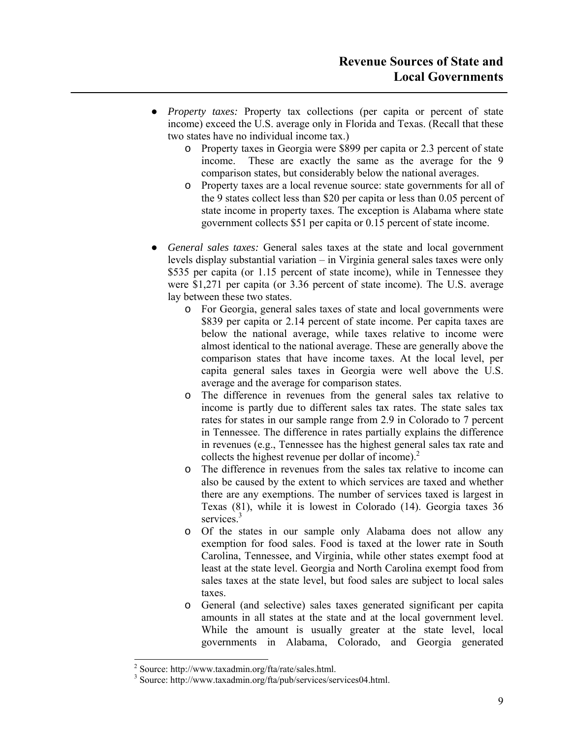- **●** *Property taxes:* Property tax collections (per capita or percent of state income) exceed the U.S. average only in Florida and Texas. (Recall that these two states have no individual income tax.)
	- o Property taxes in Georgia were \$899 per capita or 2.3 percent of state income. These are exactly the same as the average for the 9 comparison states, but considerably below the national averages.
	- o Property taxes are a local revenue source: state governments for all of the 9 states collect less than \$20 per capita or less than 0.05 percent of state income in property taxes. The exception is Alabama where state government collects \$51 per capita or 0.15 percent of state income.
- **●** *General sales taxes:* General sales taxes at the state and local government levels display substantial variation – in Virginia general sales taxes were only \$535 per capita (or 1.15 percent of state income), while in Tennessee they were \$1,271 per capita (or 3.36 percent of state income). The U.S. average lay between these two states.
	- o For Georgia, general sales taxes of state and local governments were \$839 per capita or 2.14 percent of state income. Per capita taxes are below the national average, while taxes relative to income were almost identical to the national average. These are generally above the comparison states that have income taxes. At the local level, per capita general sales taxes in Georgia were well above the U.S. average and the average for comparison states.
	- o The difference in revenues from the general sales tax relative to income is partly due to different sales tax rates. The state sales tax rates for states in our sample range from 2.9 in Colorado to 7 percent in Tennessee. The difference in rates partially explains the difference in revenues (e.g., Tennessee has the highest general sales tax rate and collects the highest revenue per dollar of income).<sup>2</sup>
	- o The difference in revenues from the sales tax relative to income can also be caused by the extent to which services are taxed and whether there are any exemptions. The number of services taxed is largest in Texas (81), while it is lowest in Colorado (14). Georgia taxes 36 services.<sup>3</sup>
	- o Of the states in our sample only Alabama does not allow any exemption for food sales. Food is taxed at the lower rate in South Carolina, Tennessee, and Virginia, while other states exempt food at least at the state level. Georgia and North Carolina exempt food from sales taxes at the state level, but food sales are subject to local sales taxes.
	- o General (and selective) sales taxes generated significant per capita amounts in all states at the state and at the local government level. While the amount is usually greater at the state level, local governments in Alabama, Colorado, and Georgia generated

 $\overline{\phantom{a}}$ 

<sup>2</sup> Source: http://www.taxadmin.org/fta/rate/sales.html.

<sup>&</sup>lt;sup>3</sup> Source: http://www.taxadmin.org/fta/pub/services/services04.html.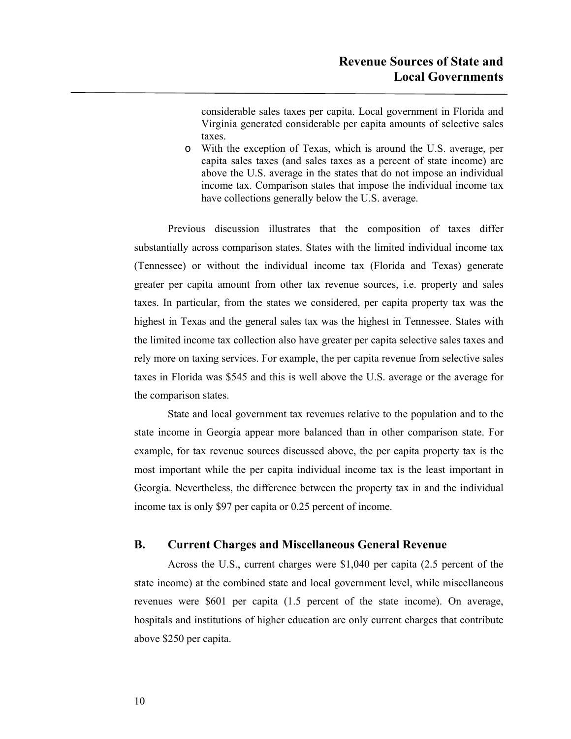considerable sales taxes per capita. Local government in Florida and Virginia generated considerable per capita amounts of selective sales taxes.

o With the exception of Texas, which is around the U.S. average, per capita sales taxes (and sales taxes as a percent of state income) are above the U.S. average in the states that do not impose an individual income tax. Comparison states that impose the individual income tax have collections generally below the U.S. average.

Previous discussion illustrates that the composition of taxes differ substantially across comparison states. States with the limited individual income tax (Tennessee) or without the individual income tax (Florida and Texas) generate greater per capita amount from other tax revenue sources, i.e. property and sales taxes. In particular, from the states we considered, per capita property tax was the highest in Texas and the general sales tax was the highest in Tennessee. States with the limited income tax collection also have greater per capita selective sales taxes and rely more on taxing services. For example, the per capita revenue from selective sales taxes in Florida was \$545 and this is well above the U.S. average or the average for the comparison states.

State and local government tax revenues relative to the population and to the state income in Georgia appear more balanced than in other comparison state. For example, for tax revenue sources discussed above, the per capita property tax is the most important while the per capita individual income tax is the least important in Georgia. Nevertheless, the difference between the property tax in and the individual income tax is only \$97 per capita or 0.25 percent of income.

### **B. Current Charges and Miscellaneous General Revenue**

Across the U.S., current charges were \$1,040 per capita (2.5 percent of the state income) at the combined state and local government level, while miscellaneous revenues were \$601 per capita (1.5 percent of the state income). On average, hospitals and institutions of higher education are only current charges that contribute above \$250 per capita.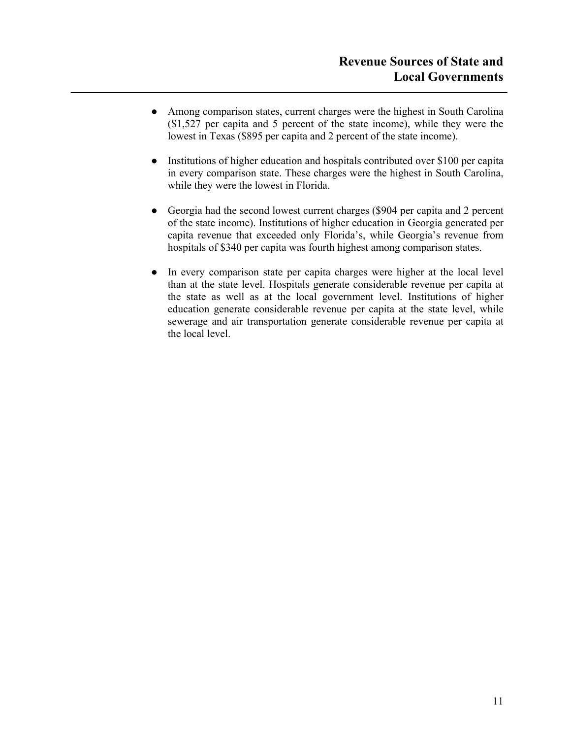- Among comparison states, current charges were the highest in South Carolina (\$1,527 per capita and 5 percent of the state income), while they were the lowest in Texas (\$895 per capita and 2 percent of the state income).
- Institutions of higher education and hospitals contributed over \$100 per capita in every comparison state. These charges were the highest in South Carolina, while they were the lowest in Florida.
- Georgia had the second lowest current charges (\$904 per capita and 2 percent of the state income). Institutions of higher education in Georgia generated per capita revenue that exceeded only Florida's, while Georgia's revenue from hospitals of \$340 per capita was fourth highest among comparison states.
- In every comparison state per capita charges were higher at the local level than at the state level. Hospitals generate considerable revenue per capita at the state as well as at the local government level. Institutions of higher education generate considerable revenue per capita at the state level, while sewerage and air transportation generate considerable revenue per capita at the local level.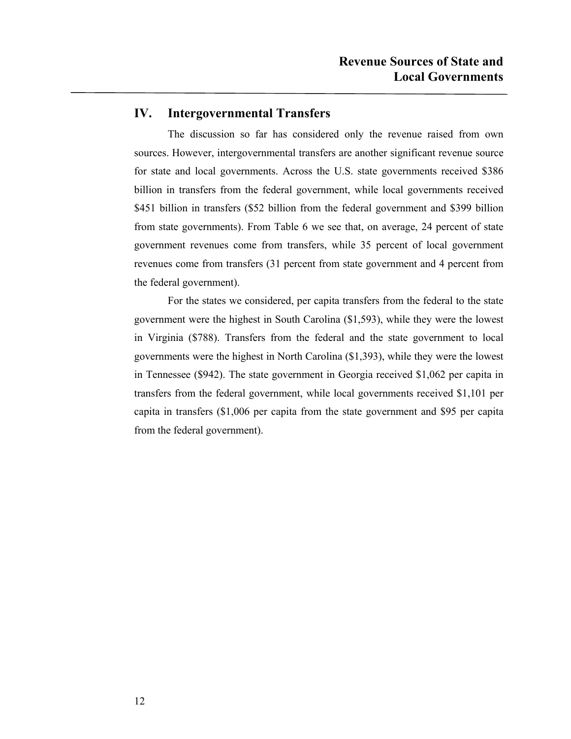### **IV. Intergovernmental Transfers**

The discussion so far has considered only the revenue raised from own sources. However, intergovernmental transfers are another significant revenue source for state and local governments. Across the U.S. state governments received \$386 billion in transfers from the federal government, while local governments received \$451 billion in transfers (\$52 billion from the federal government and \$399 billion from state governments). From Table 6 we see that, on average, 24 percent of state government revenues come from transfers, while 35 percent of local government revenues come from transfers (31 percent from state government and 4 percent from the federal government).

For the states we considered, per capita transfers from the federal to the state government were the highest in South Carolina (\$1,593), while they were the lowest in Virginia (\$788). Transfers from the federal and the state government to local governments were the highest in North Carolina (\$1,393), while they were the lowest in Tennessee (\$942). The state government in Georgia received \$1,062 per capita in transfers from the federal government, while local governments received \$1,101 per capita in transfers (\$1,006 per capita from the state government and \$95 per capita from the federal government).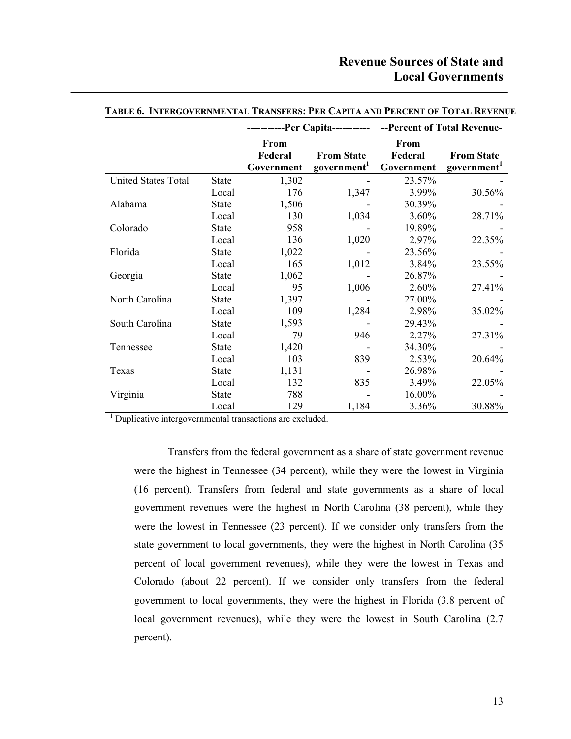|                            |              |                               |                                              | ------------Per Capita------------ --Percent of Total Revenue- |                                              |  |  |  |  |
|----------------------------|--------------|-------------------------------|----------------------------------------------|----------------------------------------------------------------|----------------------------------------------|--|--|--|--|
|                            |              | From<br>Federal<br>Government | <b>From State</b><br>government <sup>1</sup> | From<br>Federal<br>Government                                  | <b>From State</b><br>government <sup>1</sup> |  |  |  |  |
| <b>United States Total</b> | <b>State</b> | 1,302                         |                                              | 23.57%                                                         |                                              |  |  |  |  |
|                            | Local        | 176                           | 1,347                                        | 3.99%                                                          | 30.56%                                       |  |  |  |  |
| Alabama                    | <b>State</b> | 1,506                         |                                              | 30.39%                                                         |                                              |  |  |  |  |
|                            | Local        | 130                           | 1,034                                        | $3.60\%$                                                       | 28.71%                                       |  |  |  |  |
| Colorado                   | <b>State</b> | 958                           |                                              | 19.89%                                                         |                                              |  |  |  |  |
|                            | Local        | 136                           | 1,020                                        | 2.97%                                                          | 22.35%                                       |  |  |  |  |
| Florida                    | <b>State</b> | 1,022                         |                                              | 23.56%                                                         |                                              |  |  |  |  |
|                            | Local        | 165                           | 1,012                                        | 3.84%                                                          | 23.55%                                       |  |  |  |  |
| Georgia                    | <b>State</b> | 1,062                         |                                              | 26.87%                                                         |                                              |  |  |  |  |
|                            | Local        | 95                            | 1,006                                        | 2.60%                                                          | 27.41%                                       |  |  |  |  |
| North Carolina             | <b>State</b> | 1,397                         |                                              | 27.00%                                                         |                                              |  |  |  |  |
|                            | Local        | 109                           | 1,284                                        | 2.98%                                                          | 35.02%                                       |  |  |  |  |
| South Carolina             | <b>State</b> | 1,593                         |                                              | 29.43%                                                         |                                              |  |  |  |  |
|                            | Local        | 79                            | 946                                          | 2.27%                                                          | 27.31%                                       |  |  |  |  |
| Tennessee                  | <b>State</b> | 1,420                         |                                              | 34.30%                                                         |                                              |  |  |  |  |
|                            | Local        | 103                           | 839                                          | 2.53%                                                          | 20.64%                                       |  |  |  |  |
| Texas                      | <b>State</b> | 1,131                         |                                              | 26.98%                                                         |                                              |  |  |  |  |
|                            | Local        | 132                           | 835                                          | 3.49%                                                          | 22.05%                                       |  |  |  |  |
| Virginia                   | <b>State</b> | 788                           |                                              | 16.00%                                                         |                                              |  |  |  |  |
|                            | Local        | 129                           | 1,184                                        | 3.36%                                                          | 30.88%                                       |  |  |  |  |

#### **TABLE 6. INTERGOVERNMENTAL TRANSFERS: PER CAPITA AND PERCENT OF TOTAL REVENUE**

<sup>1</sup> Duplicative intergovernmental transactions are excluded.

Transfers from the federal government as a share of state government revenue were the highest in Tennessee (34 percent), while they were the lowest in Virginia (16 percent). Transfers from federal and state governments as a share of local government revenues were the highest in North Carolina (38 percent), while they were the lowest in Tennessee (23 percent). If we consider only transfers from the state government to local governments, they were the highest in North Carolina (35 percent of local government revenues), while they were the lowest in Texas and Colorado (about 22 percent). If we consider only transfers from the federal government to local governments, they were the highest in Florida (3.8 percent of local government revenues), while they were the lowest in South Carolina (2.7 percent).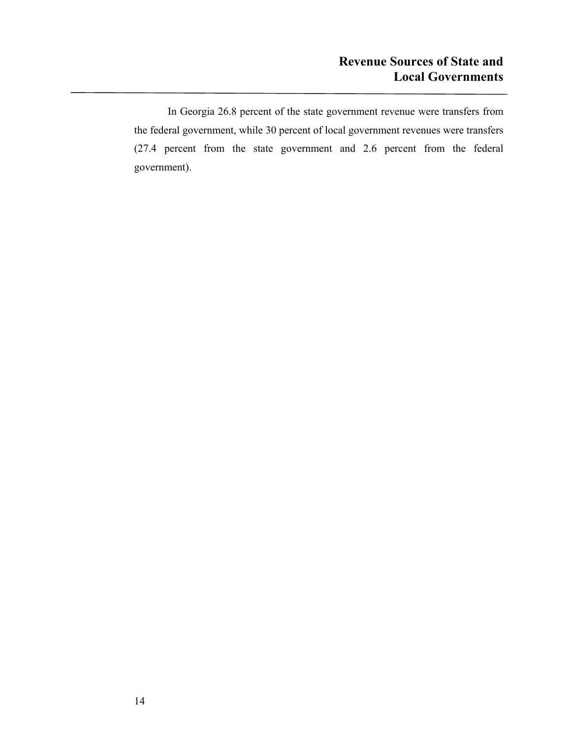In Georgia 26.8 percent of the state government revenue were transfers from the federal government, while 30 percent of local government revenues were transfers (27.4 percent from the state government and 2.6 percent from the federal government).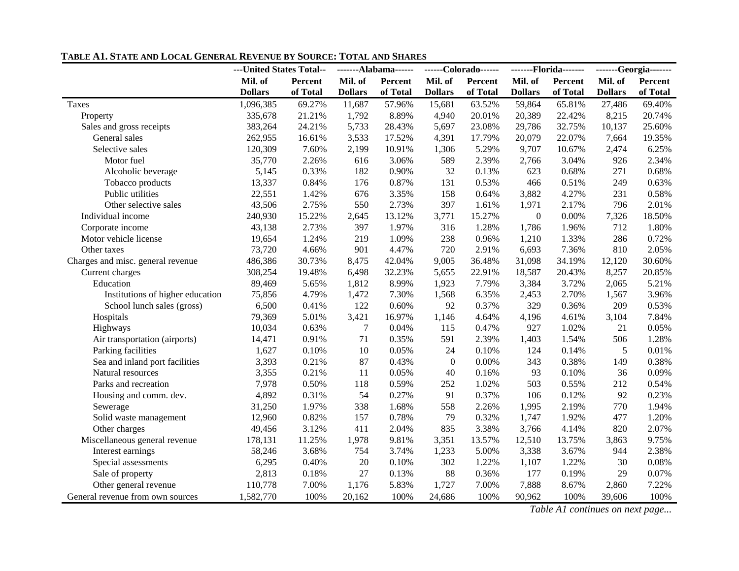|                                   | ---United States Total-- |          |                | -------Alabama------ |                  | ------Colorado------ |                  | -------Florida------- |                | -------Georgia------- |
|-----------------------------------|--------------------------|----------|----------------|----------------------|------------------|----------------------|------------------|-----------------------|----------------|-----------------------|
|                                   | Mil. of                  | Percent  | Mil. of        | Percent              | Mil. of          | Percent              | Mil. of          | Percent               | Mil. of        | Percent               |
|                                   | <b>Dollars</b>           | of Total | <b>Dollars</b> | of Total             | <b>Dollars</b>   | of Total             | <b>Dollars</b>   | of Total              | <b>Dollars</b> | of Total              |
| Taxes                             | 1,096,385                | 69.27%   | 11,687         | 57.96%               | 15,681           | 63.52%               | 59,864           | 65.81%                | 27,486         | 69.40%                |
| Property                          | 335,678                  | 21.21%   | 1,792          | 8.89%                | 4,940            | 20.01%               | 20,389           | 22.42%                | 8,215          | 20.74%                |
| Sales and gross receipts          | 383,264                  | 24.21%   | 5,733          | 28.43%               | 5,697            | 23.08%               | 29,786           | 32.75%                | 10,137         | 25.60%                |
| General sales                     | 262,955                  | 16.61%   | 3,533          | 17.52%               | 4,391            | 17.79%               | 20,079           | 22.07%                | 7,664          | 19.35%                |
| Selective sales                   | 120,309                  | 7.60%    | 2,199          | 10.91%               | 1,306            | 5.29%                | 9,707            | 10.67%                | 2,474          | 6.25%                 |
| Motor fuel                        | 35,770                   | 2.26%    | 616            | 3.06%                | 589              | 2.39%                | 2,766            | 3.04%                 | 926            | 2.34%                 |
| Alcoholic beverage                | 5,145                    | 0.33%    | 182            | 0.90%                | 32               | 0.13%                | 623              | 0.68%                 | 271            | 0.68%                 |
| Tobacco products                  | 13,337                   | 0.84%    | 176            | 0.87%                | 131              | 0.53%                | 466              | 0.51%                 | 249            | 0.63%                 |
| Public utilities                  | 22,551                   | 1.42%    | 676            | 3.35%                | 158              | 0.64%                | 3,882            | 4.27%                 | 231            | 0.58%                 |
| Other selective sales             | 43,506                   | 2.75%    | 550            | 2.73%                | 397              | 1.61%                | 1,971            | 2.17%                 | 796            | 2.01%                 |
| Individual income                 | 240,930                  | 15.22%   | 2,645          | 13.12%               | 3,771            | 15.27%               | $\boldsymbol{0}$ | $0.00\%$              | 7,326          | 18.50%                |
| Corporate income                  | 43,138                   | 2.73%    | 397            | 1.97%                | 316              | 1.28%                | 1,786            | 1.96%                 | 712            | 1.80%                 |
| Motor vehicle license             | 19,654                   | 1.24%    | 219            | 1.09%                | 238              | 0.96%                | 1,210            | 1.33%                 | 286            | 0.72%                 |
| Other taxes                       | 73,720                   | 4.66%    | 901            | 4.47%                | 720              | 2.91%                | 6,693            | 7.36%                 | 810            | 2.05%                 |
| Charges and misc. general revenue | 486,386                  | 30.73%   | 8,475          | 42.04%               | 9,005            | 36.48%               | 31,098           | 34.19%                | 12,120         | 30.60%                |
| Current charges                   | 308,254                  | 19.48%   | 6,498          | 32.23%               | 5,655            | 22.91%               | 18,587           | 20.43%                | 8,257          | 20.85%                |
| Education                         | 89,469                   | 5.65%    | 1,812          | 8.99%                | 1,923            | 7.79%                | 3,384            | 3.72%                 | 2,065          | 5.21%                 |
| Institutions of higher education  | 75,856                   | 4.79%    | 1,472          | 7.30%                | 1,568            | 6.35%                | 2,453            | 2.70%                 | 1,567          | 3.96%                 |
| School lunch sales (gross)        | 6,500                    | 0.41%    | 122            | 0.60%                | 92               | 0.37%                | 329              | 0.36%                 | 209            | 0.53%                 |
| Hospitals                         | 79,369                   | 5.01%    | 3,421          | 16.97%               | 1,146            | 4.64%                | 4,196            | 4.61%                 | 3,104          | 7.84%                 |
| Highways                          | 10,034                   | 0.63%    | $\tau$         | 0.04%                | 115              | 0.47%                | 927              | 1.02%                 | 21             | 0.05%                 |
| Air transportation (airports)     | 14,471                   | 0.91%    | 71             | 0.35%                | 591              | 2.39%                | 1,403            | 1.54%                 | 506            | 1.28%                 |
| Parking facilities                | 1,627                    | 0.10%    | 10             | 0.05%                | 24               | 0.10%                | 124              | 0.14%                 | 5              | 0.01%                 |
| Sea and inland port facilities    | 3,393                    | 0.21%    | 87             | 0.43%                | $\boldsymbol{0}$ | 0.00%                | 343              | 0.38%                 | 149            | 0.38%                 |
| Natural resources                 | 3,355                    | 0.21%    | 11             | 0.05%                | 40               | 0.16%                | 93               | 0.10%                 | 36             | 0.09%                 |
| Parks and recreation              | 7,978                    | 0.50%    | 118            | 0.59%                | 252              | 1.02%                | 503              | 0.55%                 | 212            | 0.54%                 |
| Housing and comm. dev.            | 4,892                    | 0.31%    | 54             | 0.27%                | 91               | 0.37%                | 106              | 0.12%                 | 92             | 0.23%                 |
| Sewerage                          | 31,250                   | 1.97%    | 338            | 1.68%                | 558              | 2.26%                | 1,995            | 2.19%                 | 770            | 1.94%                 |
| Solid waste management            | 12,960                   | 0.82%    | 157            | 0.78%                | 79               | 0.32%                | 1,747            | 1.92%                 | 477            | 1.20%                 |
| Other charges                     | 49,456                   | 3.12%    | 411            | 2.04%                | 835              | 3.38%                | 3,766            | 4.14%                 | 820            | 2.07%                 |
| Miscellaneous general revenue     | 178,131                  | 11.25%   | 1,978          | 9.81%                | 3,351            | 13.57%               | 12,510           | 13.75%                | 3,863          | 9.75%                 |
| Interest earnings                 | 58,246                   | 3.68%    | 754            | 3.74%                | 1,233            | 5.00%                | 3,338            | 3.67%                 | 944            | 2.38%                 |
| Special assessments               | 6,295                    | 0.40%    | 20             | 0.10%                | 302              | 1.22%                | 1,107            | 1.22%                 | 30             | 0.08%                 |
| Sale of property                  | 2,813                    | 0.18%    | 27             | 0.13%                | 88               | 0.36%                | 177              | 0.19%                 | 29             | 0.07%                 |
| Other general revenue             | 110,778                  | 7.00%    | 1,176          | 5.83%                | 1,727            | 7.00%                | 7,888            | 8.67%                 | 2,860          | 7.22%                 |
| General revenue from own sources  | 1,582,770                | 100%     | 20,162         | 100%                 | 24,686           | 100%                 | 90,962           | 100%                  | 39,606         | 100%                  |

**TABLE A1. STATE AND LOCAL GENERAL REVENUE BY SOURCE: TOTAL AND SHARES**

*Table A1 continues on next page...*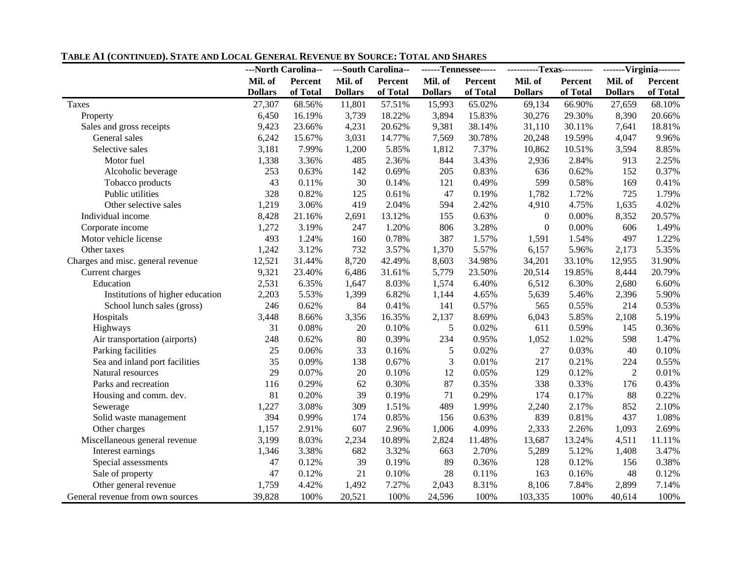|                                   | ---North Carolina-- |          |                | ---South Carolina-- |                | ------Tennessee----- |                  | ----------Texas---------- |                | -------Virginia------- |
|-----------------------------------|---------------------|----------|----------------|---------------------|----------------|----------------------|------------------|---------------------------|----------------|------------------------|
|                                   | Mil. of             | Percent  | Mil. of        | Percent             | Mil. of        | <b>Percent</b>       | Mil. of          | Percent                   | Mil. of        | Percent                |
|                                   | <b>Dollars</b>      | of Total | <b>Dollars</b> | of Total            | <b>Dollars</b> | of Total             | <b>Dollars</b>   | of Total                  | <b>Dollars</b> | of Total               |
| Taxes                             | 27,307              | 68.56%   | 11,801         | 57.51%              | 15,993         | 65.02%               | 69,134           | 66.90%                    | 27,659         | 68.10%                 |
| Property                          | 6,450               | 16.19%   | 3,739          | 18.22%              | 3,894          | 15.83%               | 30,276           | 29.30%                    | 8,390          | 20.66%                 |
| Sales and gross receipts          | 9,423               | 23.66%   | 4,231          | 20.62%              | 9,381          | 38.14%               | 31,110           | 30.11%                    | 7,641          | 18.81%                 |
| General sales                     | 6,242               | 15.67%   | 3,031          | 14.77%              | 7,569          | 30.78%               | 20,248           | 19.59%                    | 4,047          | 9.96%                  |
| Selective sales                   | 3,181               | 7.99%    | 1,200          | 5.85%               | 1,812          | 7.37%                | 10,862           | 10.51%                    | 3,594          | 8.85%                  |
| Motor fuel                        | 1,338               | 3.36%    | 485            | 2.36%               | 844            | 3.43%                | 2,936            | 2.84%                     | 913            | 2.25%                  |
| Alcoholic beverage                | 253                 | 0.63%    | 142            | 0.69%               | 205            | 0.83%                | 636              | 0.62%                     | 152            | 0.37%                  |
| Tobacco products                  | 43                  | 0.11%    | 30             | 0.14%               | 121            | 0.49%                | 599              | 0.58%                     | 169            | 0.41%                  |
| Public utilities                  | 328                 | 0.82%    | 125            | 0.61%               | 47             | 0.19%                | 1,782            | 1.72%                     | 725            | 1.79%                  |
| Other selective sales             | 1,219               | 3.06%    | 419            | 2.04%               | 594            | 2.42%                | 4,910            | 4.75%                     | 1,635          | 4.02%                  |
| Individual income                 | 8,428               | 21.16%   | 2,691          | 13.12%              | 155            | 0.63%                | $\boldsymbol{0}$ | 0.00%                     | 8,352          | 20.57%                 |
| Corporate income                  | 1,272               | 3.19%    | 247            | 1.20%               | 806            | 3.28%                | $\boldsymbol{0}$ | $0.00\%$                  | 606            | 1.49%                  |
| Motor vehicle license             | 493                 | 1.24%    | 160            | 0.78%               | 387            | 1.57%                | 1,591            | 1.54%                     | 497            | 1.22%                  |
| Other taxes                       | 1,242               | 3.12%    | 732            | 3.57%               | 1,370          | 5.57%                | 6,157            | 5.96%                     | 2,173          | 5.35%                  |
| Charges and misc. general revenue | 12,521              | 31.44%   | 8,720          | 42.49%              | 8,603          | 34.98%               | 34,201           | 33.10%                    | 12,955         | 31.90%                 |
| Current charges                   | 9,321               | 23.40%   | 6,486          | 31.61%              | 5,779          | 23.50%               | 20,514           | 19.85%                    | 8,444          | 20.79%                 |
| Education                         | 2,531               | 6.35%    | 1,647          | 8.03%               | 1,574          | 6.40%                | 6,512            | 6.30%                     | 2,680          | 6.60%                  |
| Institutions of higher education  | 2,203               | 5.53%    | 1,399          | 6.82%               | 1,144          | 4.65%                | 5,639            | 5.46%                     | 2,396          | 5.90%                  |
| School lunch sales (gross)        | 246                 | 0.62%    | 84             | 0.41%               | 141            | 0.57%                | 565              | 0.55%                     | 214            | 0.53%                  |
| Hospitals                         | 3,448               | 8.66%    | 3,356          | 16.35%              | 2,137          | 8.69%                | 6,043            | 5.85%                     | 2,108          | 5.19%                  |
| Highways                          | 31                  | 0.08%    | 20             | 0.10%               | 5              | 0.02%                | 611              | 0.59%                     | 145            | 0.36%                  |
| Air transportation (airports)     | 248                 | 0.62%    | 80             | 0.39%               | 234            | 0.95%                | 1,052            | 1.02%                     | 598            | 1.47%                  |
| Parking facilities                | 25                  | 0.06%    | 33             | 0.16%               | 5              | 0.02%                | 27               | 0.03%                     | 40             | 0.10%                  |
| Sea and inland port facilities    | 35                  | 0.09%    | 138            | 0.67%               | 3              | 0.01%                | 217              | 0.21%                     | 224            | 0.55%                  |
| Natural resources                 | 29                  | 0.07%    | $20\,$         | 0.10%               | 12             | 0.05%                | 129              | 0.12%                     | $\overline{2}$ | 0.01%                  |
| Parks and recreation              | 116                 | 0.29%    | 62             | 0.30%               | 87             | 0.35%                | 338              | 0.33%                     | 176            | 0.43%                  |
| Housing and comm. dev.            | 81                  | 0.20%    | 39             | 0.19%               | 71             | 0.29%                | 174              | 0.17%                     | 88             | 0.22%                  |
| Sewerage                          | 1,227               | 3.08%    | 309            | 1.51%               | 489            | 1.99%                | 2,240            | 2.17%                     | 852            | 2.10%                  |
| Solid waste management            | 394                 | 0.99%    | 174            | 0.85%               | 156            | 0.63%                | 839              | 0.81%                     | 437            | 1.08%                  |
| Other charges                     | 1,157               | 2.91%    | 607            | 2.96%               | 1,006          | 4.09%                | 2,333            | 2.26%                     | 1,093          | 2.69%                  |
| Miscellaneous general revenue     | 3,199               | 8.03%    | 2,234          | 10.89%              | 2,824          | 11.48%               | 13,687           | 13.24%                    | 4,511          | 11.11%                 |
| Interest earnings                 | 1,346               | 3.38%    | 682            | 3.32%               | 663            | 2.70%                | 5,289            | 5.12%                     | 1,408          | 3.47%                  |
| Special assessments               | 47                  | 0.12%    | 39             | 0.19%               | 89             | 0.36%                | 128              | 0.12%                     | 156            | 0.38%                  |
| Sale of property                  | 47                  | 0.12%    | 21             | 0.10%               | 28             | 0.11%                | 163              | 0.16%                     | 48             | 0.12%                  |
| Other general revenue             | 1,759               | 4.42%    | 1,492          | 7.27%               | 2,043          | 8.31%                | 8,106            | 7.84%                     | 2,899          | 7.14%                  |
| General revenue from own sources  | 39,828              | 100%     | 20,521         | 100%                | 24,596         | 100%                 | 103,335          | 100%                      | 40,614         | 100%                   |

#### **TABLE A1 (CONTINUED). STATE AND LOCAL GENERAL REVENUE BY SOURCE: TOTAL AND SHARES**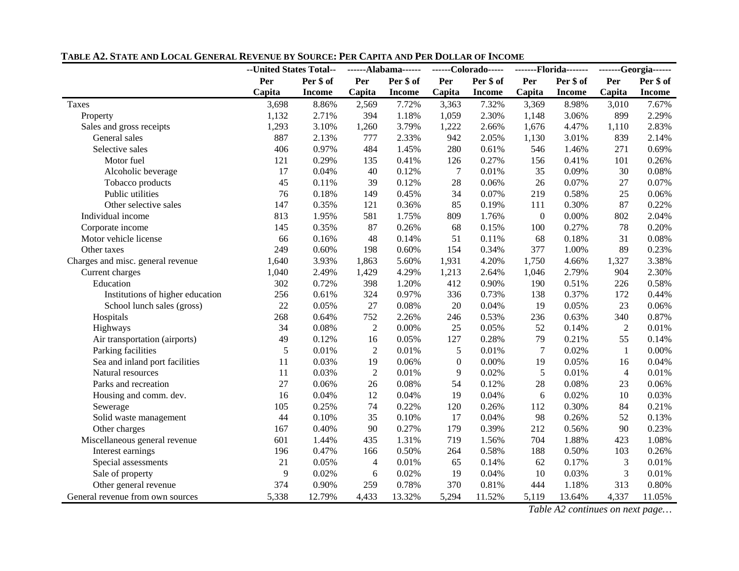|                                   | --United States Total-- |               | ------Alabama------ |               | ------Colorado----- |               | -------Florida------- |               |                  | -------Georgia------ |
|-----------------------------------|-------------------------|---------------|---------------------|---------------|---------------------|---------------|-----------------------|---------------|------------------|----------------------|
|                                   | Per                     | Per \$ of     | Per                 | Per \$ of     | Per                 | Per \$ of     | Per                   | Per \$ of     | Per \$ of<br>Per |                      |
|                                   | Capita                  | <b>Income</b> | Capita              | <b>Income</b> | Capita              | <b>Income</b> | Capita                | <b>Income</b> | Capita           | Income               |
| Taxes                             | 3,698                   | 8.86%         | 2,569               | 7.72%         | 3,363               | 7.32%         | 3,369                 | 8.98%         | 3,010            | 7.67%                |
| Property                          | 1,132                   | 2.71%         | 394                 | 1.18%         | 1,059               | 2.30%         | 1,148                 | 3.06%         | 899              | 2.29%                |
| Sales and gross receipts          | 1,293                   | 3.10%         | 1,260               | 3.79%         | 1,222               | 2.66%         | 1,676                 | 4.47%         | 1,110            | 2.83%                |
| General sales                     | 887                     | 2.13%         | 777                 | 2.33%         | 942                 | 2.05%         | 1,130                 | 3.01%         | 839              | 2.14%                |
| Selective sales                   | 406                     | 0.97%         | 484                 | 1.45%         | 280                 | 0.61%         | 546                   | 1.46%         | 271              | 0.69%                |
| Motor fuel                        | 121                     | 0.29%         | 135                 | 0.41%         | 126                 | 0.27%         | 156                   | 0.41%         | 101              | 0.26%                |
| Alcoholic beverage                | 17                      | 0.04%         | 40                  | 0.12%         | $\tau$              | 0.01%         | 35                    | 0.09%         | 30               | 0.08%                |
| Tobacco products                  | 45                      | 0.11%         | 39                  | 0.12%         | 28                  | 0.06%         | 26                    | 0.07%         | 27               | 0.07%                |
| Public utilities                  | 76                      | 0.18%         | 149                 | 0.45%         | 34                  | 0.07%         | 219                   | 0.58%         | 25               | 0.06%                |
| Other selective sales             | 147                     | 0.35%         | 121                 | 0.36%         | 85                  | 0.19%         | 111                   | 0.30%         | 87               | 0.22%                |
| Individual income                 | 813                     | 1.95%         | 581                 | 1.75%         | 809                 | 1.76%         | $\boldsymbol{0}$      | 0.00%         | 802              | 2.04%                |
| Corporate income                  | 145                     | 0.35%         | 87                  | 0.26%         | 68                  | 0.15%         | 100                   | 0.27%         | 78               | 0.20%                |
| Motor vehicle license             | 66                      | 0.16%         | 48                  | 0.14%         | 51                  | 0.11%         | 68                    | 0.18%         | 31               | 0.08%                |
| Other taxes                       | 249                     | 0.60%         | 198                 | 0.60%         | 154                 | 0.34%         | 377                   | 1.00%         | 89               | 0.23%                |
| Charges and misc. general revenue | 1,640                   | 3.93%         | 1,863               | 5.60%         | 1,931               | 4.20%         | 1,750                 | 4.66%         | 1,327            | 3.38%                |
| Current charges                   | 1,040                   | 2.49%         | 1,429               | 4.29%         | 1,213               | 2.64%         | 1,046                 | 2.79%         | 904              | 2.30%                |
| Education                         | 302                     | 0.72%         | 398                 | 1.20%         | 412                 | 0.90%         | 190                   | 0.51%         | 226              | 0.58%                |
| Institutions of higher education  | 256                     | 0.61%         | 324                 | 0.97%         | 336                 | 0.73%         | 138                   | 0.37%         | 172              | 0.44%                |
| School lunch sales (gross)        | 22                      | 0.05%         | 27                  | 0.08%         | 20                  | 0.04%         | 19                    | 0.05%         | 23               | 0.06%                |
| Hospitals                         | 268                     | 0.64%         | 752                 | 2.26%         | 246                 | 0.53%         | 236                   | 0.63%         | 340              | 0.87%                |
| Highways                          | 34                      | 0.08%         | $\mathbf{2}$        | 0.00%         | 25                  | 0.05%         | 52                    | 0.14%         | $\overline{2}$   | 0.01%                |
| Air transportation (airports)     | 49                      | 0.12%         | 16                  | 0.05%         | 127                 | 0.28%         | 79                    | 0.21%         | 55               | 0.14%                |
| Parking facilities                | 5                       | 0.01%         | $\overline{2}$      | 0.01%         | 5                   | 0.01%         | $\tau$                | 0.02%         | $\mathbf{1}$     | $0.00\%$             |
| Sea and inland port facilities    | 11                      | 0.03%         | 19                  | 0.06%         | $\boldsymbol{0}$    | 0.00%         | 19                    | 0.05%         | 16               | 0.04%                |
| Natural resources                 | 11                      | 0.03%         | $\sqrt{2}$          | 0.01%         | 9                   | 0.02%         | $\sqrt{5}$            | 0.01%         | $\overline{4}$   | 0.01%                |
| Parks and recreation              | 27                      | 0.06%         | 26                  | 0.08%         | 54                  | 0.12%         | 28                    | 0.08%         | 23               | 0.06%                |
| Housing and comm. dev.            | 16                      | 0.04%         | 12                  | 0.04%         | 19                  | 0.04%         | 6                     | 0.02%         | 10               | 0.03%                |
| Sewerage                          | 105                     | 0.25%         | 74                  | 0.22%         | 120                 | 0.26%         | 112                   | 0.30%         | 84               | 0.21%                |
| Solid waste management            | 44                      | 0.10%         | 35                  | 0.10%         | 17                  | 0.04%         | 98                    | 0.26%         | 52               | 0.13%                |
| Other charges                     | 167                     | 0.40%         | 90                  | 0.27%         | 179                 | 0.39%         | 212                   | 0.56%         | 90               | 0.23%                |
| Miscellaneous general revenue     | 601                     | 1.44%         | 435                 | 1.31%         | 719                 | 1.56%         | 704                   | 1.88%         | 423              | 1.08%                |
| Interest earnings                 | 196                     | 0.47%         | 166                 | 0.50%         | 264                 | 0.58%         | 188                   | 0.50%         | 103              | 0.26%                |
| Special assessments               | 21                      | 0.05%         | $\overline{4}$      | 0.01%         | 65                  | 0.14%         | 62                    | 0.17%         | 3                | 0.01%                |
| Sale of property                  | 9                       | 0.02%         | 6                   | 0.02%         | 19                  | 0.04%         | 10                    | 0.03%         | 3                | 0.01%                |
| Other general revenue             | 374                     | 0.90%         | 259                 | 0.78%         | 370                 | 0.81%         | 444                   | 1.18%         | 313              | 0.80%                |
| General revenue from own sources  | 5,338                   | 12.79%        | 4,433               | 13.32%        | 5,294               | 11.52%        | 5,119                 | 13.64%        | 4,337            | 11.05%               |

#### **TABLE A2. STATE AND LOCAL GENERAL REVENUE BY SOURCE: PER CAPITA AND PER DOLLAR OF INCOME**

*Table A2 continues on next page…*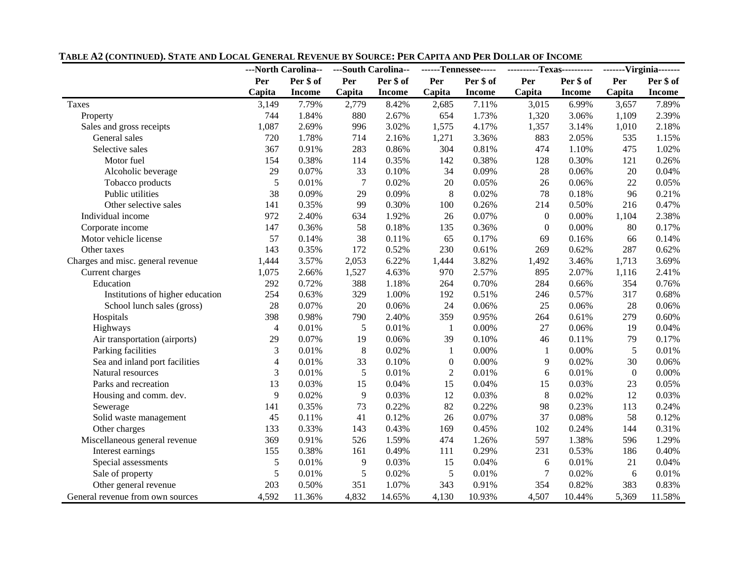|                                   | ---North Carolina-- |               | ---South Carolina-- |               | ------Tennessee----- |               | ----------Texas---------- |               |                  | -------Virginia------- |
|-----------------------------------|---------------------|---------------|---------------------|---------------|----------------------|---------------|---------------------------|---------------|------------------|------------------------|
|                                   | Per                 | Per \$ of     | Per                 | Per \$ of     | Per                  | Per \$ of     | Per                       | Per \$ of     | Per              | Per \$ of              |
|                                   | Capita              | <b>Income</b> | Capita              | <b>Income</b> | Capita               | <b>Income</b> | Capita                    | <b>Income</b> | Capita           | <b>Income</b>          |
| Taxes                             | 3,149               | 7.79%         | 2,779               | 8.42%         | 2,685                | 7.11%         | 3,015                     | 6.99%         | 3,657            | 7.89%                  |
| Property                          | 744                 | 1.84%         | 880                 | 2.67%         | 654                  | 1.73%         | 1,320                     | 3.06%         | 1,109            | 2.39%                  |
| Sales and gross receipts          | 1,087               | 2.69%         | 996                 | 3.02%         | 1,575                | 4.17%         | 1,357                     | 3.14%         | 1,010            | 2.18%                  |
| General sales                     | 720                 | 1.78%         | 714                 | 2.16%         | 1,271                | 3.36%         | 883                       | 2.05%         | 535              | 1.15%                  |
| Selective sales                   | 367                 | 0.91%         | 283                 | 0.86%         | 304                  | 0.81%         | 474                       | 1.10%         | 475              | 1.02%                  |
| Motor fuel                        | 154                 | 0.38%         | 114                 | 0.35%         | 142                  | 0.38%         | 128                       | 0.30%         | 121              | 0.26%                  |
| Alcoholic beverage                | 29                  | 0.07%         | 33                  | 0.10%         | 34                   | 0.09%         | 28                        | 0.06%         | $20\,$           | 0.04%                  |
| Tobacco products                  | 5                   | 0.01%         | $\overline{7}$      | 0.02%         | $20\,$               | 0.05%         | 26                        | 0.06%         | 22               | 0.05%                  |
| Public utilities                  | 38                  | 0.09%         | 29                  | 0.09%         | $\,8\,$              | 0.02%         | 78                        | 0.18%         | 96               | 0.21%                  |
| Other selective sales             | 141                 | 0.35%         | 99                  | 0.30%         | 100                  | 0.26%         | 214                       | 0.50%         | 216              | 0.47%                  |
| Individual income                 | 972                 | 2.40%         | 634                 | 1.92%         | 26                   | 0.07%         | $\boldsymbol{0}$          | 0.00%         | 1,104            | 2.38%                  |
| Corporate income                  | 147                 | 0.36%         | 58                  | 0.18%         | 135                  | 0.36%         | $\boldsymbol{0}$          | 0.00%         | 80               | 0.17%                  |
| Motor vehicle license             | 57                  | 0.14%         | 38                  | 0.11%         | 65                   | 0.17%         | 69                        | 0.16%         | 66               | 0.14%                  |
| Other taxes                       | 143                 | 0.35%         | 172                 | 0.52%         | 230                  | 0.61%         | 269                       | 0.62%         | 287              | 0.62%                  |
| Charges and misc. general revenue | 1,444               | 3.57%         | 2,053               | 6.22%         | 1,444                | 3.82%         | 1,492                     | 3.46%         | 1,713            | 3.69%                  |
| Current charges                   | 1,075               | 2.66%         | 1,527               | 4.63%         | 970                  | 2.57%         | 895                       | 2.07%         | 1,116            | 2.41%                  |
| Education                         | 292                 | 0.72%         | 388                 | 1.18%         | 264                  | 0.70%         | 284                       | 0.66%         | 354              | 0.76%                  |
| Institutions of higher education  | 254                 | 0.63%         | 329                 | 1.00%         | 192                  | 0.51%         | 246                       | 0.57%         | 317              | 0.68%                  |
| School lunch sales (gross)        | 28                  | 0.07%         | 20                  | 0.06%         | 24                   | 0.06%         | 25                        | 0.06%         | 28               | 0.06%                  |
| Hospitals                         | 398                 | 0.98%         | 790                 | 2.40%         | 359                  | 0.95%         | 264                       | 0.61%         | 279              | 0.60%                  |
| Highways                          | $\overline{4}$      | 0.01%         | 5                   | 0.01%         | $\mathbf{1}$         | $0.00\%$      | 27                        | 0.06%         | 19               | 0.04%                  |
| Air transportation (airports)     | 29                  | 0.07%         | 19                  | 0.06%         | 39                   | 0.10%         | 46                        | 0.11%         | 79               | 0.17%                  |
| Parking facilities                | 3                   | 0.01%         | $8\,$               | 0.02%         | $\mathbf{1}$         | $0.00\%$      | $\mathbf{1}$              | 0.00%         | 5                | 0.01%                  |
| Sea and inland port facilities    | $\overline{4}$      | 0.01%         | 33                  | 0.10%         | $\boldsymbol{0}$     | $0.00\%$      | 9                         | 0.02%         | 30               | 0.06%                  |
| Natural resources                 | 3                   | 0.01%         | 5                   | 0.01%         | $\sqrt{2}$           | 0.01%         | 6                         | 0.01%         | $\boldsymbol{0}$ | 0.00%                  |
| Parks and recreation              | 13                  | 0.03%         | 15                  | 0.04%         | 15                   | 0.04%         | 15                        | 0.03%         | 23               | 0.05%                  |
| Housing and comm. dev.            | 9                   | 0.02%         | $\overline{9}$      | 0.03%         | 12                   | 0.03%         | 8                         | 0.02%         | 12               | 0.03%                  |
| Sewerage                          | 141                 | 0.35%         | 73                  | 0.22%         | 82                   | 0.22%         | 98                        | 0.23%         | 113              | 0.24%                  |
| Solid waste management            | 45                  | 0.11%         | 41                  | 0.12%         | 26                   | 0.07%         | 37                        | 0.08%         | 58               | 0.12%                  |
| Other charges                     | 133                 | 0.33%         | 143                 | 0.43%         | 169                  | 0.45%         | 102                       | 0.24%         | 144              | 0.31%                  |
| Miscellaneous general revenue     | 369                 | 0.91%         | 526                 | 1.59%         | 474                  | 1.26%         | 597                       | 1.38%         | 596              | 1.29%                  |
| Interest earnings                 | 155                 | 0.38%         | 161                 | 0.49%         | 111                  | 0.29%         | 231                       | 0.53%         | 186              | 0.40%                  |
| Special assessments               | 5                   | 0.01%         | 9                   | 0.03%         | 15                   | 0.04%         | $\sqrt{6}$                | 0.01%         | 21               | 0.04%                  |
| Sale of property                  | 5                   | 0.01%         | 5                   | 0.02%         | 5                    | 0.01%         | $\tau$                    | 0.02%         | 6                | 0.01%                  |
| Other general revenue             | 203                 | 0.50%         | 351                 | 1.07%         | 343                  | 0.91%         | 354                       | 0.82%         | 383              | 0.83%                  |
| General revenue from own sources  | 4,592               | 11.36%        | 4,832               | 14.65%        | 4,130                | 10.93%        | 4,507                     | 10.44%        | 5,369            | 11.58%                 |

#### **TABLE A2 (CONTINUED). STATE AND LOCAL GENERAL REVENUE BY SOURCE: PER CAPITA AND PER DOLLAR OF INCOME**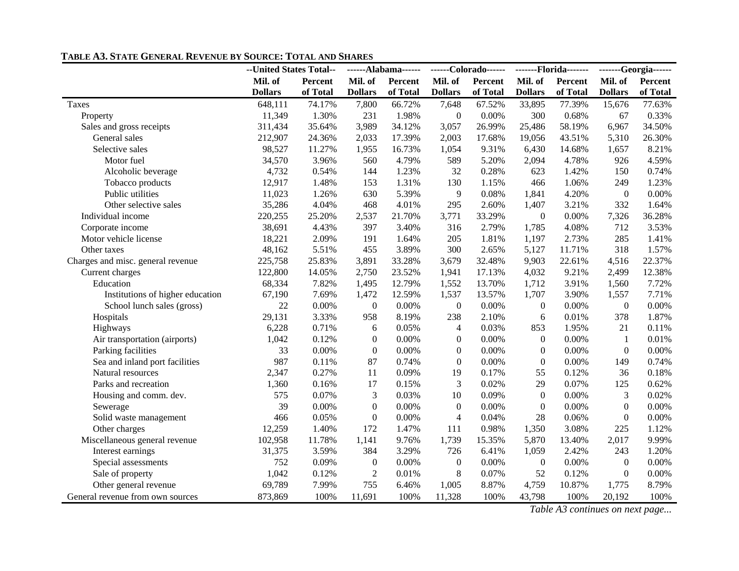|                                   | --United States Total-- |          |                  | ------Alabama------ |                          | ------Colorado------ | -------Florida------- |          | -------Georgia------ |          |
|-----------------------------------|-------------------------|----------|------------------|---------------------|--------------------------|----------------------|-----------------------|----------|----------------------|----------|
|                                   | Mil. of                 | Percent  | Mil. of          | Percent             | Mil. of                  | Percent              | Mil. of               | Percent  | Mil. of              | Percent  |
|                                   | <b>Dollars</b>          | of Total | <b>Dollars</b>   | of Total            | <b>Dollars</b>           | of Total             | <b>Dollars</b>        | of Total | <b>Dollars</b>       | of Total |
| Taxes                             | 648,111                 | 74.17%   | 7,800            | 66.72%              | 7,648                    | 67.52%               | 33,895                | 77.39%   | 15,676               | 77.63%   |
| Property                          | 11,349                  | 1.30%    | 231              | 1.98%               | $\boldsymbol{0}$         | 0.00%                | 300                   | 0.68%    | 67                   | 0.33%    |
| Sales and gross receipts          | 311,434                 | 35.64%   | 3,989            | 34.12%              | 3,057                    | 26.99%               | 25,486                | 58.19%   | 6,967                | 34.50%   |
| General sales                     | 212,907                 | 24.36%   | 2,033            | 17.39%              | 2,003                    | 17.68%               | 19,056                | 43.51%   | 5,310                | 26.30%   |
| Selective sales                   | 98,527                  | 11.27%   | 1,955            | 16.73%              | 1,054                    | 9.31%                | 6,430                 | 14.68%   | 1,657                | 8.21%    |
| Motor fuel                        | 34,570                  | 3.96%    | 560              | 4.79%               | 589                      | 5.20%                | 2,094                 | 4.78%    | 926                  | 4.59%    |
| Alcoholic beverage                | 4,732                   | 0.54%    | 144              | 1.23%               | 32                       | 0.28%                | 623                   | 1.42%    | 150                  | 0.74%    |
| Tobacco products                  | 12,917                  | 1.48%    | 153              | 1.31%               | 130                      | 1.15%                | 466                   | 1.06%    | 249                  | 1.23%    |
| Public utilities                  | 11,023                  | 1.26%    | 630              | 5.39%               | 9                        | 0.08%                | 1,841                 | 4.20%    | $\boldsymbol{0}$     | 0.00%    |
| Other selective sales             | 35,286                  | 4.04%    | 468              | 4.01%               | 295                      | 2.60%                | 1,407                 | 3.21%    | 332                  | 1.64%    |
| Individual income                 | 220,255                 | 25.20%   | 2,537            | 21.70%              | 3,771                    | 33.29%               | $\mathbf{0}$          | 0.00%    | 7,326                | 36.28%   |
| Corporate income                  | 38,691                  | 4.43%    | 397              | 3.40%               | 316                      | 2.79%                | 1,785                 | 4.08%    | 712                  | 3.53%    |
| Motor vehicle license             | 18,221                  | 2.09%    | 191              | 1.64%               | 205                      | 1.81%                | 1,197                 | 2.73%    | 285                  | 1.41%    |
| Other taxes                       | 48,162                  | 5.51%    | 455              | 3.89%               | 300                      | 2.65%                | 5,127                 | 11.71%   | 318                  | 1.57%    |
| Charges and misc. general revenue | 225,758                 | 25.83%   | 3,891            | 33.28%              | 3,679                    | 32.48%               | 9,903                 | 22.61%   | 4,516                | 22.37%   |
| Current charges                   | 122,800                 | 14.05%   | 2,750            | 23.52%              | 1,941                    | 17.13%               | 4,032                 | 9.21%    | 2,499                | 12.38%   |
| Education                         | 68,334                  | 7.82%    | 1,495            | 12.79%              | 1,552                    | 13.70%               | 1,712                 | 3.91%    | 1,560                | 7.72%    |
| Institutions of higher education  | 67,190                  | 7.69%    | 1,472            | 12.59%              | 1,537                    | 13.57%               | 1,707                 | 3.90%    | 1,557                | 7.71%    |
| School lunch sales (gross)        | 22                      | 0.00%    | $\overline{0}$   | 0.00%               | $\overline{0}$           | 0.00%                | $\boldsymbol{0}$      | 0.00%    | $\mathbf{0}$         | 0.00%    |
| Hospitals                         | 29,131                  | 3.33%    | 958              | 8.19%               | 238                      | 2.10%                | 6                     | 0.01%    | 378                  | 1.87%    |
| Highways                          | 6,228                   | 0.71%    | 6                | 0.05%               | $\overline{4}$           | 0.03%                | 853                   | 1.95%    | 21                   | 0.11%    |
| Air transportation (airports)     | 1,042                   | 0.12%    | $\boldsymbol{0}$ | 0.00%               | $\theta$                 | 0.00%                | $\overline{0}$        | 0.00%    | $\mathbf{1}$         | 0.01%    |
| Parking facilities                | 33                      | $0.00\%$ | $\boldsymbol{0}$ | 0.00%               | $\boldsymbol{0}$         | 0.00%                | $\overline{0}$        | 0.00%    | $\boldsymbol{0}$     | 0.00%    |
| Sea and inland port facilities    | 987                     | 0.11%    | 87               | 0.74%               | $\boldsymbol{0}$         | 0.00%                | $\boldsymbol{0}$      | 0.00%    | 149                  | 0.74%    |
| Natural resources                 | 2,347                   | 0.27%    | 11               | 0.09%               | 19                       | 0.17%                | 55                    | 0.12%    | 36                   | 0.18%    |
| Parks and recreation              | 1,360                   | 0.16%    | 17               | 0.15%               | 3                        | 0.02%                | 29                    | 0.07%    | 125                  | 0.62%    |
| Housing and comm. dev.            | 575                     | 0.07%    | 3                | 0.03%               | 10                       | 0.09%                | $\boldsymbol{0}$      | 0.00%    | $\mathfrak{Z}$       | 0.02%    |
| Sewerage                          | 39                      | 0.00%    | $\boldsymbol{0}$ | 0.00%               | $\overline{0}$           | 0.00%                | $\mathbf{0}$          | 0.00%    | $\theta$             | 0.00%    |
| Solid waste management            | 466                     | 0.05%    | $\boldsymbol{0}$ | 0.00%               | $\overline{\mathcal{L}}$ | 0.04%                | 28                    | 0.06%    | $\boldsymbol{0}$     | 0.00%    |
| Other charges                     | 12,259                  | 1.40%    | 172              | 1.47%               | 111                      | 0.98%                | 1,350                 | 3.08%    | 225                  | 1.12%    |
| Miscellaneous general revenue     | 102,958                 | 11.78%   | 1,141            | 9.76%               | 1,739                    | 15.35%               | 5,870                 | 13.40%   | 2,017                | 9.99%    |
| Interest earnings                 | 31,375                  | 3.59%    | 384              | 3.29%               | 726                      | 6.41%                | 1,059                 | 2.42%    | 243                  | 1.20%    |
| Special assessments               | 752                     | 0.09%    | $\boldsymbol{0}$ | 0.00%               | $\boldsymbol{0}$         | 0.00%                | $\boldsymbol{0}$      | 0.00%    | $\theta$             | $0.00\%$ |
| Sale of property                  | 1,042                   | 0.12%    | $\overline{2}$   | 0.01%               | 8                        | 0.07%                | 52                    | 0.12%    | $\boldsymbol{0}$     | 0.00%    |
| Other general revenue             | 69,789                  | 7.99%    | 755              | 6.46%               | 1,005                    | 8.87%                | 4,759                 | 10.87%   | 1,775                | 8.79%    |
| General revenue from own sources  | 873,869                 | 100%     | 11,691           | 100%                | 11,328                   | 100%                 | 43,798                | 100%     | 20,192               | 100%     |

#### **TABLE A3. STATE GENERAL REVENUE BY SOURCE: TOTAL AND SHARES**

*Table A3 continues on next page...*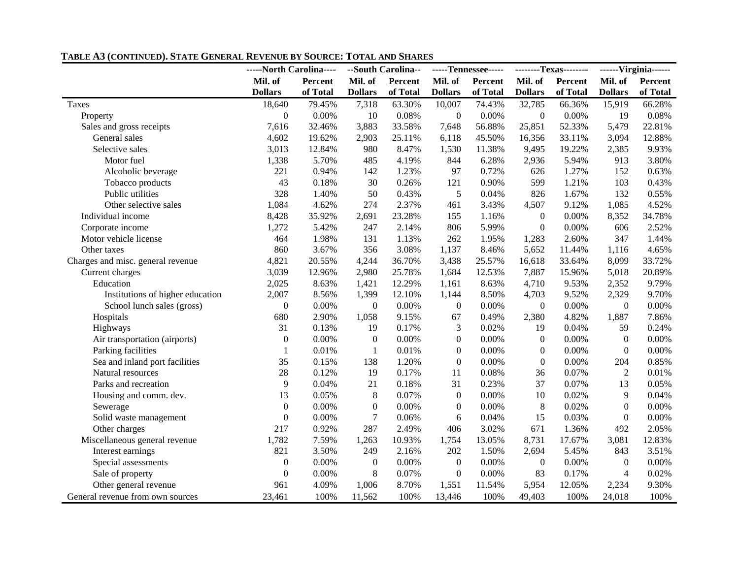|                                   | -----North Carolina---- |          |                  | --South Carolina-- |                  | -----Tennessee----- |                  | --------Texas-------- |                    | ------Virginia------ |  |
|-----------------------------------|-------------------------|----------|------------------|--------------------|------------------|---------------------|------------------|-----------------------|--------------------|----------------------|--|
|                                   | Mil. of                 | Percent  | Mil. of          | Percent            | Mil. of          | Percent             | Mil. of          | Percent               | Mil. of<br>Percent |                      |  |
|                                   | <b>Dollars</b>          | of Total | <b>Dollars</b>   | of Total           | <b>Dollars</b>   | of Total            | <b>Dollars</b>   | of Total              | <b>Dollars</b>     | of Total             |  |
| Taxes                             | 18,640                  | 79.45%   | 7,318            | 63.30%             | 10,007           | 74.43%              | 32,785           | 66.36%                | 15,919             | 66.28%               |  |
| Property                          | $\mathbf{0}$            | 0.00%    | 10               | 0.08%              | $\boldsymbol{0}$ | 0.00%               | $\boldsymbol{0}$ | 0.00%                 | 19                 | 0.08%                |  |
| Sales and gross receipts          | 7,616                   | 32.46%   | 3,883            | 33.58%             | 7,648            | 56.88%              | 25,851           | 52.33%                | 5,479              | 22.81%               |  |
| General sales                     | 4,602                   | 19.62%   | 2,903            | 25.11%             | 6,118            | 45.50%              | 16,356           | 33.11%                | 3,094              | 12.88%               |  |
| Selective sales                   | 3,013                   | 12.84%   | 980              | 8.47%              | 1,530            | 11.38%              | 9,495            | 19.22%                | 2,385              | 9.93%                |  |
| Motor fuel                        | 1,338                   | 5.70%    | 485              | 4.19%              | 844              | 6.28%               | 2,936            | 5.94%                 | 913                | 3.80%                |  |
| Alcoholic beverage                | 221                     | 0.94%    | 142              | 1.23%              | 97               | 0.72%               | 626              | 1.27%                 | 152                | 0.63%                |  |
| Tobacco products                  | 43                      | 0.18%    | 30               | 0.26%              | 121              | 0.90%               | 599              | 1.21%                 | 103                | 0.43%                |  |
| Public utilities                  | 328                     | 1.40%    | 50               | 0.43%              | 5                | 0.04%               | 826              | 1.67%                 | 132                | 0.55%                |  |
| Other selective sales             | 1,084                   | 4.62%    | 274              | 2.37%              | 461              | 3.43%               | 4,507            | 9.12%                 | 1,085              | 4.52%                |  |
| Individual income                 | 8,428                   | 35.92%   | 2,691            | 23.28%             | 155              | 1.16%               | $\theta$         | 0.00%                 | 8,352              | 34.78%               |  |
| Corporate income                  | 1,272                   | 5.42%    | 247              | 2.14%              | 806              | 5.99%               | $\boldsymbol{0}$ | 0.00%                 | 606                | 2.52%                |  |
| Motor vehicle license             | 464                     | 1.98%    | 131              | 1.13%              | 262              | 1.95%               | 1,283            | 2.60%                 | 347                | 1.44%                |  |
| Other taxes                       | 860                     | 3.67%    | 356              | 3.08%              | 1,137            | 8.46%               | 5,652            | 11.44%                | 1,116              | 4.65%                |  |
| Charges and misc. general revenue | 4,821                   | 20.55%   | 4,244            | 36.70%             | 3,438            | 25.57%              | 16,618           | 33.64%                | 8,099              | 33.72%               |  |
| Current charges                   | 3,039                   | 12.96%   | 2,980            | 25.78%             | 1,684            | 12.53%              | 7,887            | 15.96%                | 5,018              | 20.89%               |  |
| Education                         | 2,025                   | 8.63%    | 1,421            | 12.29%             | 1,161            | 8.63%               | 4,710            | 9.53%                 | 2,352              | 9.79%                |  |
| Institutions of higher education  | 2,007                   | 8.56%    | 1,399            | 12.10%             | 1,144            | 8.50%               | 4,703            | 9.52%                 | 2,329              | 9.70%                |  |
| School lunch sales (gross)        | $\mathbf{0}$            | 0.00%    | $\boldsymbol{0}$ | 0.00%              | $\overline{0}$   | 0.00%               | $\boldsymbol{0}$ | 0.00%                 | $\boldsymbol{0}$   | 0.00%                |  |
| Hospitals                         | 680                     | 2.90%    | 1,058            | 9.15%              | 67               | 0.49%               | 2,380            | 4.82%                 | 1,887              | 7.86%                |  |
| Highways                          | 31                      | 0.13%    | 19               | 0.17%              | 3                | 0.02%               | 19               | 0.04%                 | 59                 | 0.24%                |  |
| Air transportation (airports)     | $\Omega$                | 0.00%    | $\mathbf{0}$     | 0.00%              | $\mathbf{0}$     | 0.00%               | $\overline{0}$   | 0.00%                 | $\overline{0}$     | 0.00%                |  |
| Parking facilities                | -1                      | 0.01%    | 1                | 0.01%              | $\boldsymbol{0}$ | 0.00%               | $\boldsymbol{0}$ | 0.00%                 | $\overline{0}$     | 0.00%                |  |
| Sea and inland port facilities    | 35                      | 0.15%    | 138              | 1.20%              | $\boldsymbol{0}$ | 0.00%               | $\boldsymbol{0}$ | 0.00%                 | 204                | 0.85%                |  |
| Natural resources                 | 28                      | 0.12%    | 19               | 0.17%              | 11               | 0.08%               | 36               | 0.07%                 | $\overline{2}$     | 0.01%                |  |
| Parks and recreation              | 9                       | 0.04%    | 21               | 0.18%              | 31               | 0.23%               | 37               | 0.07%                 | 13                 | 0.05%                |  |
| Housing and comm. dev.            | 13                      | 0.05%    | 8                | 0.07%              | $\boldsymbol{0}$ | 0.00%               | 10               | 0.02%                 | $\overline{9}$     | 0.04%                |  |
| Sewerage                          | $\mathbf{0}$            | 0.00%    | $\boldsymbol{0}$ | 0.00%              | $\boldsymbol{0}$ | 0.00%               | $8\phantom{1}$   | 0.02%                 | $\mathbf{0}$       | 0.00%                |  |
| Solid waste management            | $\mathbf{0}$            | 0.00%    | $\overline{7}$   | 0.06%              | 6                | 0.04%               | 15               | 0.03%                 | $\mathbf{0}$       | 0.00%                |  |
| Other charges                     | 217                     | 0.92%    | 287              | 2.49%              | 406              | 3.02%               | 671              | 1.36%                 | 492                | 2.05%                |  |
| Miscellaneous general revenue     | 1,782                   | 7.59%    | 1,263            | 10.93%             | 1,754            | 13.05%              | 8,731            | 17.67%                | 3,081              | 12.83%               |  |
| Interest earnings                 | 821                     | 3.50%    | 249              | 2.16%              | 202              | 1.50%               | 2,694            | 5.45%                 | 843                | 3.51%                |  |
| Special assessments               | $\boldsymbol{0}$        | 0.00%    | $\boldsymbol{0}$ | $0.00\%$           | $\boldsymbol{0}$ | 0.00%               | $\boldsymbol{0}$ | 0.00%                 | $\theta$           | $0.00\%$             |  |
| Sale of property                  | $\boldsymbol{0}$        | 0.00%    | $\,8\,$          | 0.07%              | $\boldsymbol{0}$ | 0.00%               | 83               | 0.17%                 | $\overline{4}$     | 0.02%                |  |
| Other general revenue             | 961                     | 4.09%    | 1,006            | 8.70%              | 1,551            | 11.54%              | 5,954            | 12.05%                | 2,234              | 9.30%                |  |
| General revenue from own sources  | 23,461                  | 100%     | 11,562           | 100%               | 13,446           | 100%                | 49,403           | 100%                  | 24,018             | 100%                 |  |

#### **TABLE A3 (CONTINUED). STATE GENERAL REVENUE BY SOURCE: TOTAL AND SHARES**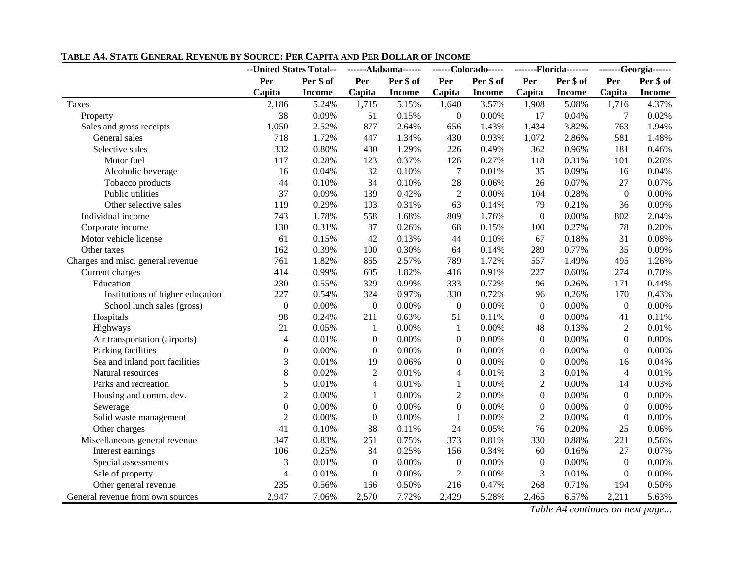|                                   | --United States Total-- |               | ------Alabama------ |               | ------Colorado----- |               | -------Florida------- |               |                  | -------Georgia------ |
|-----------------------------------|-------------------------|---------------|---------------------|---------------|---------------------|---------------|-----------------------|---------------|------------------|----------------------|
|                                   | Per                     | Per \$ of     | Per                 | Per \$ of     | Per                 | Per \$ of     | Per                   | Per \$ of     | Per<br>Per \$ of |                      |
|                                   | Capita                  | <b>Income</b> | Capita              | <b>Income</b> | Capita              | <b>Income</b> | Capita                | <b>Income</b> | Capita           | <b>Income</b>        |
| Taxes                             | 2,186                   | 5.24%         | 1,715               | 5.15%         | 1,640               | 3.57%         | 1,908                 | 5.08%         | 1,716            | 4.37%                |
| Property                          | 38                      | 0.09%         | 51                  | 0.15%         | $\boldsymbol{0}$    | 0.00%         | 17                    | 0.04%         | 7                | 0.02%                |
| Sales and gross receipts          | 1,050                   | 2.52%         | 877                 | 2.64%         | 656                 | 1.43%         | 1,434                 | 3.82%         | 763              | 1.94%                |
| General sales                     | 718                     | 1.72%         | 447                 | 1.34%         | 430                 | 0.93%         | 1,072                 | 2.86%         | 581              | 1.48%                |
| Selective sales                   | 332                     | 0.80%         | 430                 | 1.29%         | 226                 | 0.49%         | 362                   | 0.96%         | 181              | 0.46%                |
| Motor fuel                        | 117                     | 0.28%         | 123                 | 0.37%         | 126                 | 0.27%         | 118                   | 0.31%         | 101              | 0.26%                |
| Alcoholic beverage                | 16                      | 0.04%         | 32                  | 0.10%         | $\overline{7}$      | 0.01%         | 35                    | 0.09%         | 16               | 0.04%                |
| Tobacco products                  | 44                      | 0.10%         | 34                  | 0.10%         | 28                  | 0.06%         | 26                    | 0.07%         | 27               | 0.07%                |
| Public utilities                  | 37                      | 0.09%         | 139                 | 0.42%         | $\overline{2}$      | 0.00%         | 104                   | 0.28%         | $\boldsymbol{0}$ | $0.00\%$             |
| Other selective sales             | 119                     | 0.29%         | 103                 | 0.31%         | 63                  | 0.14%         | 79                    | 0.21%         | 36               | 0.09%                |
| Individual income                 | 743                     | 1.78%         | 558                 | 1.68%         | 809                 | 1.76%         | $\boldsymbol{0}$      | 0.00%         | 802              | 2.04%                |
| Corporate income                  | 130                     | 0.31%         | 87                  | 0.26%         | 68                  | 0.15%         | 100                   | 0.27%         | 78               | 0.20%                |
| Motor vehicle license             | 61                      | 0.15%         | 42                  | 0.13%         | 44                  | 0.10%         | 67                    | 0.18%         | 31               | 0.08%                |
| Other taxes                       | 162                     | 0.39%         | 100                 | 0.30%         | 64                  | 0.14%         | 289                   | 0.77%         | 35               | 0.09%                |
| Charges and misc. general revenue | 761                     | 1.82%         | 855                 | 2.57%         | 789                 | 1.72%         | 557                   | 1.49%         | 495              | 1.26%                |
| Current charges                   | 414                     | 0.99%         | 605                 | 1.82%         | 416                 | 0.91%         | 227                   | 0.60%         | 274              | 0.70%                |
| Education                         | 230                     | 0.55%         | 329                 | 0.99%         | 333                 | 0.72%         | 96                    | 0.26%         | 171              | 0.44%                |
| Institutions of higher education  | 227                     | 0.54%         | 324                 | 0.97%         | 330                 | 0.72%         | 96                    | 0.26%         | 170              | 0.43%                |
| School lunch sales (gross)        | $\overline{0}$          | 0.00%         | $\boldsymbol{0}$    | 0.00%         | $\boldsymbol{0}$    | 0.00%         | $\mathbf{0}$          | 0.00%         | $\boldsymbol{0}$ | 0.00%                |
| Hospitals                         | 98                      | 0.24%         | 211                 | 0.63%         | 51                  | 0.11%         | $\overline{0}$        | 0.00%         | 41               | 0.11%                |
| Highways                          | 21                      | 0.05%         | 1                   | 0.00%         | 1                   | 0.00%         | 48                    | 0.13%         | $\overline{2}$   | 0.01%                |
| Air transportation (airports)     | $\overline{4}$          | 0.01%         | $\boldsymbol{0}$    | 0.00%         | $\boldsymbol{0}$    | 0.00%         | $\boldsymbol{0}$      | 0.00%         | $\boldsymbol{0}$ | 0.00%                |
| Parking facilities                | $\overline{0}$          | 0.00%         | $\boldsymbol{0}$    | 0.00%         | $\boldsymbol{0}$    | 0.00%         | $\boldsymbol{0}$      | 0.00%         | $\boldsymbol{0}$ | 0.00%                |
| Sea and inland port facilities    | 3                       | 0.01%         | 19                  | 0.06%         | $\boldsymbol{0}$    | 0.00%         | $\boldsymbol{0}$      | 0.00%         | 16               | 0.04%                |
| Natural resources                 | 8                       | 0.02%         | $\overline{2}$      | 0.01%         | $\overline{4}$      | 0.01%         | $\mathfrak{Z}$        | 0.01%         | $\overline{4}$   | 0.01%                |
| Parks and recreation              | 5                       | 0.01%         | 4                   | 0.01%         | 1                   | 0.00%         | $\overline{2}$        | 0.00%         | 14               | 0.03%                |
| Housing and comm. dev.            | $\overline{2}$          | 0.00%         | $\mathbf{1}$        | 0.00%         | $\overline{c}$      | 0.00%         | $\boldsymbol{0}$      | 0.00%         | $\boldsymbol{0}$ | 0.00%                |
| Sewerage                          | $\theta$                | 0.00%         | $\boldsymbol{0}$    | 0.00%         | $\mathbf{0}$        | 0.00%         | $\overline{0}$        | 0.00%         | $\mathbf{0}$     | 0.00%                |
| Solid waste management            | $\overline{2}$          | 0.00%         | $\boldsymbol{0}$    | 0.00%         | $\mathbf{1}$        | 0.00%         | $\overline{2}$        | 0.00%         | $\boldsymbol{0}$ | 0.00%                |
| Other charges                     | 41                      | 0.10%         | 38                  | 0.11%         | 24                  | 0.05%         | 76                    | 0.20%         | 25               | 0.06%                |
| Miscellaneous general revenue     | 347                     | 0.83%         | 251                 | 0.75%         | 373                 | 0.81%         | 330                   | 0.88%         | 221              | 0.56%                |
| Interest earnings                 | 106                     | 0.25%         | 84                  | 0.25%         | 156                 | 0.34%         | 60                    | 0.16%         | 27               | 0.07%                |
| Special assessments               | 3                       | 0.01%         | $\boldsymbol{0}$    | 0.00%         | $\boldsymbol{0}$    | 0.00%         | $\boldsymbol{0}$      | 0.00%         | $\boldsymbol{0}$ | $0.00\%$             |
| Sale of property                  | $\overline{4}$          | 0.01%         | $\boldsymbol{0}$    | 0.00%         | $\sqrt{2}$          | 0.00%         | 3                     | 0.01%         | $\boldsymbol{0}$ | 0.00%                |
| Other general revenue             | 235                     | 0.56%         | 166                 | 0.50%         | 216                 | 0.47%         | 268                   | 0.71%         | 194              | 0.50%                |
| General revenue from own sources  | 2,947                   | 7.06%         | 2,570               | 7.72%         | 2,429               | 5.28%         | 2,465                 | 6.57%         | 2,211            | 5.63%                |

#### **TABLE A4. STATE GENERAL REVENUE BY SOURCE: PER CAPITA AND PER DOLLAR OF INCOME**

*Table A4 continues on next page...*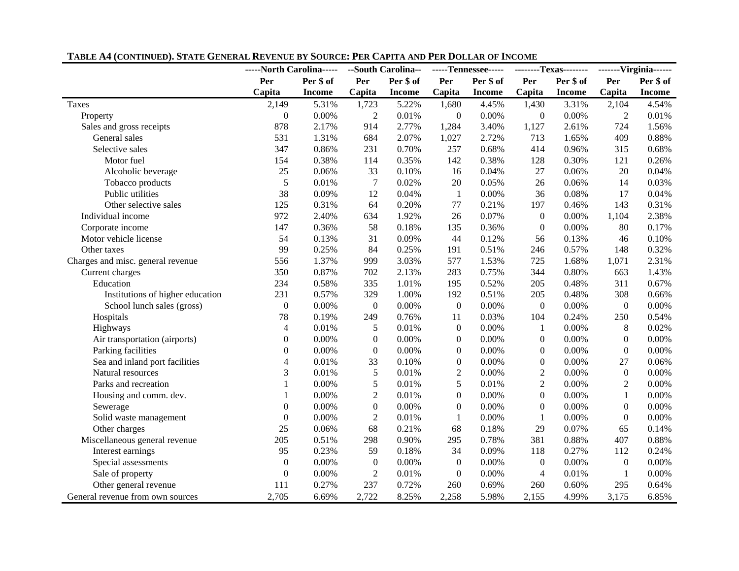|                                   | -----North Carolina----- |               | --South Carolina-- |               | -----Tennessee----- |               | --------Texas-------- |               | -------Virginia------ |               |
|-----------------------------------|--------------------------|---------------|--------------------|---------------|---------------------|---------------|-----------------------|---------------|-----------------------|---------------|
|                                   | Per                      | Per \$ of     | Per                | Per \$ of     | Per                 | Per \$ of     | Per                   | Per \$ of     | Per<br>Per \$ of      |               |
|                                   | Capita                   | <b>Income</b> | Capita             | <b>Income</b> | Capita              | <b>Income</b> | Capita                | <b>Income</b> | Capita                | <b>Income</b> |
| Taxes                             | 2,149                    | 5.31%         | 1,723              | 5.22%         | 1,680               | 4.45%         | 1,430                 | 3.31%         | 2,104                 | 4.54%         |
| Property                          | $\boldsymbol{0}$         | 0.00%         | 2                  | 0.01%         | $\boldsymbol{0}$    | 0.00%         | $\boldsymbol{0}$      | 0.00%         | $\overline{2}$        | 0.01%         |
| Sales and gross receipts          | 878                      | 2.17%         | 914                | 2.77%         | 1,284               | 3.40%         | 1,127                 | 2.61%         | 724                   | 1.56%         |
| General sales                     | 531                      | 1.31%         | 684                | 2.07%         | 1,027               | 2.72%         | 713                   | 1.65%         | 409                   | 0.88%         |
| Selective sales                   | 347                      | 0.86%         | 231                | 0.70%         | 257                 | 0.68%         | 414                   | 0.96%         | 315                   | 0.68%         |
| Motor fuel                        | 154                      | 0.38%         | 114                | 0.35%         | 142                 | 0.38%         | 128                   | 0.30%         | 121                   | 0.26%         |
| Alcoholic beverage                | 25                       | 0.06%         | 33                 | 0.10%         | 16                  | 0.04%         | 27                    | 0.06%         | 20                    | 0.04%         |
| Tobacco products                  | 5                        | 0.01%         | $\tau$             | 0.02%         | $20\,$              | 0.05%         | 26                    | 0.06%         | 14                    | 0.03%         |
| Public utilities                  | 38                       | 0.09%         | 12                 | 0.04%         | $\mathbf{1}$        | $0.00\%$      | 36                    | 0.08%         | 17                    | $0.04\%$      |
| Other selective sales             | 125                      | 0.31%         | 64                 | 0.20%         | 77                  | 0.21%         | 197                   | 0.46%         | 143                   | 0.31%         |
| Individual income                 | 972                      | 2.40%         | 634                | 1.92%         | 26                  | 0.07%         | $\boldsymbol{0}$      | 0.00%         | 1,104                 | 2.38%         |
| Corporate income                  | 147                      | 0.36%         | 58                 | 0.18%         | 135                 | 0.36%         | $\boldsymbol{0}$      | 0.00%         | 80                    | 0.17%         |
| Motor vehicle license             | 54                       | 0.13%         | 31                 | 0.09%         | 44                  | 0.12%         | 56                    | 0.13%         | 46                    | 0.10%         |
| Other taxes                       | 99                       | 0.25%         | 84                 | 0.25%         | 191                 | 0.51%         | 246                   | 0.57%         | 148                   | 0.32%         |
| Charges and misc. general revenue | 556                      | 1.37%         | 999                | 3.03%         | 577                 | 1.53%         | 725                   | 1.68%         | 1,071                 | 2.31%         |
| Current charges                   | 350                      | 0.87%         | 702                | 2.13%         | 283                 | 0.75%         | 344                   | 0.80%         | 663                   | 1.43%         |
| Education                         | 234                      | 0.58%         | 335                | 1.01%         | 195                 | 0.52%         | 205                   | 0.48%         | 311                   | 0.67%         |
| Institutions of higher education  | 231                      | 0.57%         | 329                | 1.00%         | 192                 | 0.51%         | 205                   | 0.48%         | 308                   | 0.66%         |
| School lunch sales (gross)        | $\overline{0}$           | 0.00%         | $\boldsymbol{0}$   | 0.00%         | $\boldsymbol{0}$    | 0.00%         | $\boldsymbol{0}$      | 0.00%         | $\boldsymbol{0}$      | 0.00%         |
| Hospitals                         | 78                       | 0.19%         | 249                | 0.76%         | 11                  | 0.03%         | 104                   | 0.24%         | 250                   | 0.54%         |
| Highways                          | $\overline{4}$           | 0.01%         | 5                  | 0.01%         | $\boldsymbol{0}$    | 0.00%         | 1                     | 0.00%         | $\,8\,$               | 0.02%         |
| Air transportation (airports)     | $\boldsymbol{0}$         | 0.00%         | $\boldsymbol{0}$   | 0.00%         | $\boldsymbol{0}$    | 0.00%         | $\boldsymbol{0}$      | 0.00%         | $\overline{0}$        | 0.00%         |
| Parking facilities                | $\boldsymbol{0}$         | 0.00%         | $\boldsymbol{0}$   | 0.00%         | $\boldsymbol{0}$    | 0.00%         | $\boldsymbol{0}$      | 0.00%         | $\boldsymbol{0}$      | 0.00%         |
| Sea and inland port facilities    | 4                        | 0.01%         | 33                 | 0.10%         | $\boldsymbol{0}$    | 0.00%         | $\boldsymbol{0}$      | 0.00%         | 27                    | 0.06%         |
| Natural resources                 | 3                        | 0.01%         | 5                  | 0.01%         | $\overline{2}$      | 0.00%         | $\overline{2}$        | 0.00%         | $\boldsymbol{0}$      | 0.00%         |
| Parks and recreation              | 1                        | 0.00%         | 5                  | 0.01%         | 5                   | 0.01%         | $\overline{2}$        | 0.00%         | $\overline{2}$        | 0.00%         |
| Housing and comm. dev.            | 1                        | 0.00%         | $\overline{c}$     | 0.01%         | $\theta$            | 0.00%         | $\overline{0}$        | 0.00%         | $\mathbf{1}$          | 0.00%         |
| Sewerage                          | $\theta$                 | 0.00%         | $\boldsymbol{0}$   | 0.00%         | $\theta$            | 0.00%         | $\Omega$              | 0.00%         | $\Omega$              | 0.00%         |
| Solid waste management            | $\boldsymbol{0}$         | $0.00\%$      | $\overline{2}$     | 0.01%         | $\mathbf{1}$        | 0.00%         | 1                     | 0.00%         | $\overline{0}$        | 0.00%         |
| Other charges                     | 25                       | 0.06%         | 68                 | 0.21%         | 68                  | 0.18%         | 29                    | 0.07%         | 65                    | 0.14%         |
| Miscellaneous general revenue     | 205                      | 0.51%         | 298                | 0.90%         | 295                 | 0.78%         | 381                   | 0.88%         | 407                   | 0.88%         |
| Interest earnings                 | 95                       | 0.23%         | 59                 | 0.18%         | 34                  | 0.09%         | 118                   | 0.27%         | 112                   | 0.24%         |
| Special assessments               | $\theta$                 | 0.00%         | $\boldsymbol{0}$   | 0.00%         | $\boldsymbol{0}$    | 0.00%         | $\boldsymbol{0}$      | 0.00%         | $\overline{0}$        | 0.00%         |
| Sale of property                  | $\mathbf{0}$             | 0.00%         | $\overline{2}$     | 0.01%         | $\boldsymbol{0}$    | 0.00%         | $\overline{4}$        | 0.01%         | -1                    | 0.00%         |
| Other general revenue             | 111                      | 0.27%         | 237                | 0.72%         | 260                 | 0.69%         | 260                   | 0.60%         | 295                   | 0.64%         |
| General revenue from own sources  | 2,705                    | 6.69%         | 2,722              | 8.25%         | 2,258               | 5.98%         | 2,155                 | 4.99%         | 3,175                 | 6.85%         |

#### **TABLE A4 (CONTINUED). STATE GENERAL REVENUE BY SOURCE: PER CAPITA AND PER DOLLAR OF INCOME**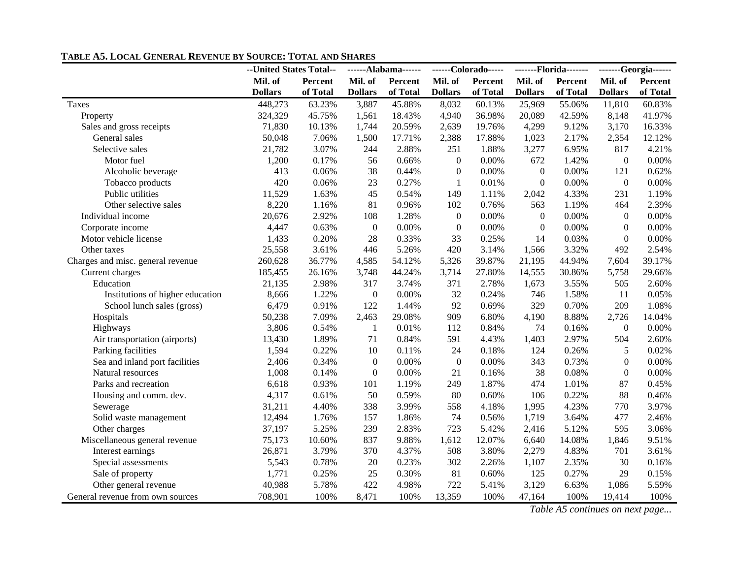|                                   | --United States Total-- |          | ------Alabama------ |          | ------Colorado----- |          | -------Florida------- |          | -------Georgia------ |          |
|-----------------------------------|-------------------------|----------|---------------------|----------|---------------------|----------|-----------------------|----------|----------------------|----------|
|                                   | Mil. of                 | Percent  | Mil. of             | Percent  | Mil. of             | Percent  | Mil. of               | Percent  | Mil. of              | Percent  |
|                                   | <b>Dollars</b>          | of Total | <b>Dollars</b>      | of Total | <b>Dollars</b>      | of Total | <b>Dollars</b>        | of Total | <b>Dollars</b>       | of Total |
| Taxes                             | 448,273                 | 63.23%   | 3,887               | 45.88%   | 8,032               | 60.13%   | 25,969                | 55.06%   | 11,810               | 60.83%   |
| Property                          | 324,329                 | 45.75%   | 1,561               | 18.43%   | 4,940               | 36.98%   | 20,089                | 42.59%   | 8,148                | 41.97%   |
| Sales and gross receipts          | 71,830                  | 10.13%   | 1,744               | 20.59%   | 2,639               | 19.76%   | 4,299                 | 9.12%    | 3,170                | 16.33%   |
| General sales                     | 50,048                  | 7.06%    | 1,500               | 17.71%   | 2,388               | 17.88%   | 1,023                 | 2.17%    | 2,354                | 12.12%   |
| Selective sales                   | 21,782                  | 3.07%    | 244                 | 2.88%    | 251                 | 1.88%    | 3,277                 | 6.95%    | 817                  | 4.21%    |
| Motor fuel                        | 1,200                   | 0.17%    | 56                  | 0.66%    | $\boldsymbol{0}$    | 0.00%    | 672                   | 1.42%    | $\boldsymbol{0}$     | 0.00%    |
| Alcoholic beverage                | 413                     | 0.06%    | 38                  | 0.44%    | $\boldsymbol{0}$    | 0.00%    | $\boldsymbol{0}$      | 0.00%    | 121                  | 0.62%    |
| Tobacco products                  | 420                     | 0.06%    | 23                  | 0.27%    | 1                   | 0.01%    | $\boldsymbol{0}$      | 0.00%    | $\boldsymbol{0}$     | 0.00%    |
| Public utilities                  | 11,529                  | 1.63%    | 45                  | 0.54%    | 149                 | 1.11%    | 2,042                 | 4.33%    | 231                  | 1.19%    |
| Other selective sales             | 8,220                   | 1.16%    | 81                  | 0.96%    | 102                 | 0.76%    | 563                   | 1.19%    | 464                  | 2.39%    |
| Individual income                 | 20,676                  | 2.92%    | 108                 | 1.28%    | $\boldsymbol{0}$    | 0.00%    | $\boldsymbol{0}$      | 0.00%    | $\mathbf{0}$         | $0.00\%$ |
| Corporate income                  | 4,447                   | 0.63%    | $\boldsymbol{0}$    | 0.00%    | $\boldsymbol{0}$    | 0.00%    | $\boldsymbol{0}$      | 0.00%    | $\mathbf{0}$         | 0.00%    |
| Motor vehicle license             | 1,433                   | 0.20%    | 28                  | 0.33%    | 33                  | 0.25%    | 14                    | 0.03%    | $\boldsymbol{0}$     | $0.00\%$ |
| Other taxes                       | 25,558                  | 3.61%    | 446                 | 5.26%    | 420                 | 3.14%    | 1,566                 | 3.32%    | 492                  | 2.54%    |
| Charges and misc. general revenue | 260,628                 | 36.77%   | 4,585               | 54.12%   | 5,326               | 39.87%   | 21,195                | 44.94%   | 7,604                | 39.17%   |
| Current charges                   | 185,455                 | 26.16%   | 3,748               | 44.24%   | 3,714               | 27.80%   | 14,555                | 30.86%   | 5,758                | 29.66%   |
| Education                         | 21,135                  | 2.98%    | 317                 | 3.74%    | 371                 | 2.78%    | 1,673                 | 3.55%    | 505                  | 2.60%    |
| Institutions of higher education  | 8,666                   | 1.22%    | $\boldsymbol{0}$    | 0.00%    | 32                  | 0.24%    | 746                   | 1.58%    | 11                   | 0.05%    |
| School lunch sales (gross)        | 6,479                   | 0.91%    | 122                 | 1.44%    | 92                  | 0.69%    | 329                   | 0.70%    | 209                  | 1.08%    |
| Hospitals                         | 50,238                  | 7.09%    | 2,463               | 29.08%   | 909                 | 6.80%    | 4,190                 | 8.88%    | 2,726                | 14.04%   |
| Highways                          | 3,806                   | 0.54%    | $\mathbf{1}$        | 0.01%    | 112                 | 0.84%    | 74                    | 0.16%    | $\mathbf{0}$         | $0.00\%$ |
| Air transportation (airports)     | 13,430                  | 1.89%    | 71                  | 0.84%    | 591                 | 4.43%    | 1,403                 | 2.97%    | 504                  | 2.60%    |
| Parking facilities                | 1,594                   | 0.22%    | 10                  | 0.11%    | 24                  | 0.18%    | 124                   | 0.26%    | 5                    | 0.02%    |
| Sea and inland port facilities    | 2,406                   | 0.34%    | $\boldsymbol{0}$    | 0.00%    | $\boldsymbol{0}$    | 0.00%    | 343                   | 0.73%    | $\mathbf{0}$         | 0.00%    |
| Natural resources                 | 1,008                   | 0.14%    | $\boldsymbol{0}$    | 0.00%    | 21                  | 0.16%    | 38                    | 0.08%    | $\boldsymbol{0}$     | 0.00%    |
| Parks and recreation              | 6,618                   | 0.93%    | 101                 | 1.19%    | 249                 | 1.87%    | 474                   | 1.01%    | 87                   | 0.45%    |
| Housing and comm. dev.            | 4,317                   | 0.61%    | 50                  | 0.59%    | 80                  | 0.60%    | 106                   | 0.22%    | 88                   | 0.46%    |
| Sewerage                          | 31,211                  | 4.40%    | 338                 | 3.99%    | 558                 | 4.18%    | 1,995                 | 4.23%    | 770                  | 3.97%    |
| Solid waste management            | 12,494                  | 1.76%    | 157                 | 1.86%    | 74                  | 0.56%    | 1,719                 | 3.64%    | 477                  | 2.46%    |
| Other charges                     | 37,197                  | 5.25%    | 239                 | 2.83%    | 723                 | 5.42%    | 2,416                 | 5.12%    | 595                  | 3.06%    |
| Miscellaneous general revenue     | 75,173                  | 10.60%   | 837                 | 9.88%    | 1,612               | 12.07%   | 6,640                 | 14.08%   | 1,846                | 9.51%    |
| Interest earnings                 | 26,871                  | 3.79%    | 370                 | 4.37%    | 508                 | 3.80%    | 2,279                 | 4.83%    | 701                  | 3.61%    |
| Special assessments               | 5,543                   | 0.78%    | 20                  | 0.23%    | 302                 | 2.26%    | 1,107                 | 2.35%    | 30                   | 0.16%    |
| Sale of property                  | 1,771                   | 0.25%    | 25                  | 0.30%    | 81                  | 0.60%    | 125                   | 0.27%    | 29                   | 0.15%    |
| Other general revenue             | 40,988                  | 5.78%    | 422                 | 4.98%    | 722                 | 5.41%    | 3,129                 | 6.63%    | 1,086                | 5.59%    |
| General revenue from own sources  | 708,901                 | 100%     | 8,471               | 100%     | 13,359              | 100%     | 47,164                | 100%     | 19,414               | 100%     |

#### **TABLE A5. LOCAL GENERAL REVENUE BY SOURCE: TOTAL AND SHARES**

*Table A5 continues on next page...*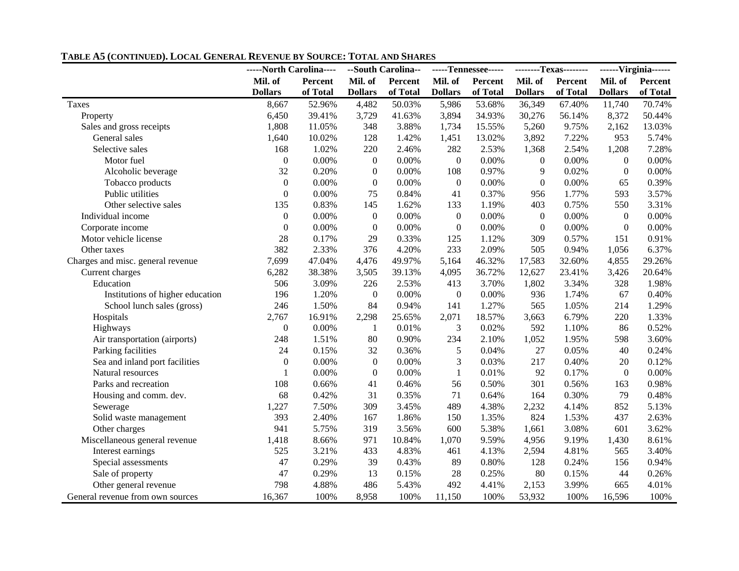|                                   | -----North Carolina---- |          |                  | --South Carolina-- |                  | -----Tennessee----- | --------Texas-------- |          | ------Virginia------ |          |
|-----------------------------------|-------------------------|----------|------------------|--------------------|------------------|---------------------|-----------------------|----------|----------------------|----------|
|                                   | Mil. of                 | Percent  | Mil. of          | Percent            | Mil. of          | Percent             | Mil. of               | Percent  | Mil. of<br>Percent   |          |
|                                   | <b>Dollars</b>          | of Total | <b>Dollars</b>   | of Total           | <b>Dollars</b>   | of Total            | <b>Dollars</b>        | of Total | <b>Dollars</b>       | of Total |
| Taxes                             | 8,667                   | 52.96%   | 4,482            | 50.03%             | 5,986            | 53.68%              | 36,349                | 67.40%   | 11,740               | 70.74%   |
| Property                          | 6,450                   | 39.41%   | 3,729            | 41.63%             | 3,894            | 34.93%              | 30,276                | 56.14%   | 8,372                | 50.44%   |
| Sales and gross receipts          | 1,808                   | 11.05%   | 348              | 3.88%              | 1,734            | 15.55%              | 5,260                 | 9.75%    | 2,162                | 13.03%   |
| General sales                     | 1,640                   | 10.02%   | 128              | 1.42%              | 1,451            | 13.02%              | 3,892                 | 7.22%    | 953                  | 5.74%    |
| Selective sales                   | 168                     | 1.02%    | 220              | 2.46%              | 282              | 2.53%               | 1,368                 | 2.54%    | 1,208                | 7.28%    |
| Motor fuel                        | $\mathbf{0}$            | 0.00%    | $\boldsymbol{0}$ | 0.00%              | $\boldsymbol{0}$ | 0.00%               | $\boldsymbol{0}$      | 0.00%    | $\mathbf{0}$         | 0.00%    |
| Alcoholic beverage                | 32                      | 0.20%    | $\boldsymbol{0}$ | 0.00%              | 108              | 0.97%               | 9                     | 0.02%    | $\boldsymbol{0}$     | 0.00%    |
| Tobacco products                  | $\mathbf{0}$            | 0.00%    | $\boldsymbol{0}$ | 0.00%              | $\boldsymbol{0}$ | 0.00%               | $\boldsymbol{0}$      | 0.00%    | 65                   | 0.39%    |
| Public utilities                  | $\mathbf{0}$            | 0.00%    | 75               | 0.84%              | 41               | 0.37%               | 956                   | 1.77%    | 593                  | 3.57%    |
| Other selective sales             | 135                     | 0.83%    | 145              | 1.62%              | 133              | 1.19%               | 403                   | 0.75%    | 550                  | 3.31%    |
| Individual income                 | $\overline{0}$          | 0.00%    | $\boldsymbol{0}$ | 0.00%              | $\boldsymbol{0}$ | 0.00%               | $\boldsymbol{0}$      | 0.00%    | $\boldsymbol{0}$     | 0.00%    |
| Corporate income                  | $\Omega$                | 0.00%    | $\mathbf{0}$     | 0.00%              | $\boldsymbol{0}$ | 0.00%               | $\mathbf{0}$          | 0.00%    | $\mathbf{0}$         | 0.00%    |
| Motor vehicle license             | 28                      | 0.17%    | 29               | 0.33%              | 125              | 1.12%               | 309                   | 0.57%    | 151                  | 0.91%    |
| Other taxes                       | 382                     | 2.33%    | 376              | 4.20%              | 233              | 2.09%               | 505                   | 0.94%    | 1,056                | 6.37%    |
| Charges and misc. general revenue | 7,699                   | 47.04%   | 4,476            | 49.97%             | 5,164            | 46.32%              | 17,583                | 32.60%   | 4,855                | 29.26%   |
| Current charges                   | 6,282                   | 38.38%   | 3,505            | 39.13%             | 4,095            | 36.72%              | 12,627                | 23.41%   | 3,426                | 20.64%   |
| Education                         | 506                     | 3.09%    | 226              | 2.53%              | 413              | 3.70%               | 1,802                 | 3.34%    | 328                  | 1.98%    |
| Institutions of higher education  | 196                     | 1.20%    | $\boldsymbol{0}$ | 0.00%              | $\boldsymbol{0}$ | 0.00%               | 936                   | 1.74%    | 67                   | 0.40%    |
| School lunch sales (gross)        | 246                     | 1.50%    | 84               | 0.94%              | 141              | 1.27%               | 565                   | 1.05%    | 214                  | 1.29%    |
| Hospitals                         | 2,767                   | 16.91%   | 2,298            | 25.65%             | 2,071            | 18.57%              | 3,663                 | 6.79%    | 220                  | 1.33%    |
| Highways                          | $\mathbf{0}$            | 0.00%    | 1                | 0.01%              | 3                | 0.02%               | 592                   | 1.10%    | 86                   | 0.52%    |
| Air transportation (airports)     | 248                     | 1.51%    | 80               | 0.90%              | 234              | 2.10%               | 1,052                 | 1.95%    | 598                  | 3.60%    |
| Parking facilities                | 24                      | 0.15%    | 32               | 0.36%              | 5                | 0.04%               | 27                    | 0.05%    | 40                   | 0.24%    |
| Sea and inland port facilities    | $\mathbf{0}$            | 0.00%    | $\boldsymbol{0}$ | 0.00%              | 3                | 0.03%               | 217                   | 0.40%    | 20                   | 0.12%    |
| Natural resources                 | 1                       | 0.00%    | $\boldsymbol{0}$ | 0.00%              | 1                | 0.01%               | 92                    | 0.17%    | $\boldsymbol{0}$     | 0.00%    |
| Parks and recreation              | 108                     | 0.66%    | 41               | 0.46%              | 56               | 0.50%               | 301                   | 0.56%    | 163                  | 0.98%    |
| Housing and comm. dev.            | 68                      | 0.42%    | 31               | 0.35%              | 71               | 0.64%               | 164                   | 0.30%    | 79                   | 0.48%    |
| Sewerage                          | 1,227                   | 7.50%    | 309              | 3.45%              | 489              | 4.38%               | 2,232                 | 4.14%    | 852                  | 5.13%    |
| Solid waste management            | 393                     | 2.40%    | 167              | 1.86%              | 150              | 1.35%               | 824                   | 1.53%    | 437                  | 2.63%    |
| Other charges                     | 941                     | 5.75%    | 319              | 3.56%              | 600              | 5.38%               | 1,661                 | 3.08%    | 601                  | 3.62%    |
| Miscellaneous general revenue     | 1,418                   | 8.66%    | 971              | 10.84%             | 1,070            | 9.59%               | 4,956                 | 9.19%    | 1,430                | 8.61%    |
| Interest earnings                 | 525                     | 3.21%    | 433              | 4.83%              | 461              | 4.13%               | 2,594                 | 4.81%    | 565                  | 3.40%    |
| Special assessments               | 47                      | 0.29%    | 39               | 0.43%              | 89               | 0.80%               | 128                   | 0.24%    | 156                  | 0.94%    |
| Sale of property                  | 47                      | 0.29%    | 13               | 0.15%              | 28               | 0.25%               | 80                    | 0.15%    | 44                   | 0.26%    |
| Other general revenue             | 798                     | 4.88%    | 486              | 5.43%              | 492              | 4.41%               | 2,153                 | 3.99%    | 665                  | 4.01%    |
| General revenue from own sources  | 16,367                  | 100%     | 8,958            | 100%               | 11,150           | 100%                | 53,932                | 100%     | 16,596               | 100%     |

#### **TABLE A5 (CONTINUED). LOCAL GENERAL REVENUE BY SOURCE: TOTAL AND SHARES**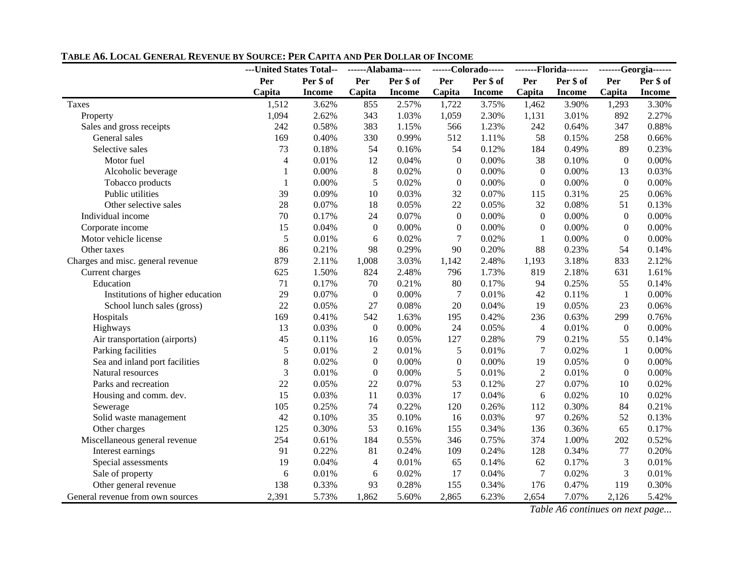|                                   | ---United States Total-- |               | ------Alabama------ |               | ------Colorado----- |               | -------Florida------- |               | -------Georgia------ |           |
|-----------------------------------|--------------------------|---------------|---------------------|---------------|---------------------|---------------|-----------------------|---------------|----------------------|-----------|
|                                   | Per                      | Per \$ of     | Per                 | Per \$ of     | Per                 | Per \$ of     | Per                   | Per \$ of     | Per                  | Per \$ of |
|                                   | Capita                   | <b>Income</b> | Capita              | <b>Income</b> | Capita              | <b>Income</b> | Capita                | <b>Income</b> | Capita               | Income    |
| Taxes                             | 1,512                    | 3.62%         | 855                 | 2.57%         | 1,722               | 3.75%         | 1,462                 | 3.90%         | 1,293                | 3.30%     |
| Property                          | 1,094                    | 2.62%         | 343                 | 1.03%         | 1,059               | 2.30%         | 1,131                 | 3.01%         | 892                  | 2.27%     |
| Sales and gross receipts          | 242                      | 0.58%         | 383                 | 1.15%         | 566                 | 1.23%         | 242                   | 0.64%         | 347                  | 0.88%     |
| General sales                     | 169                      | 0.40%         | 330                 | 0.99%         | 512                 | 1.11%         | 58                    | 0.15%         | 258                  | 0.66%     |
| Selective sales                   | 73                       | 0.18%         | 54                  | 0.16%         | 54                  | 0.12%         | 184                   | 0.49%         | 89                   | 0.23%     |
| Motor fuel                        | $\overline{\mathcal{L}}$ | 0.01%         | 12                  | 0.04%         | $\overline{0}$      | 0.00%         | 38                    | 0.10%         | $\boldsymbol{0}$     | 0.00%     |
| Alcoholic beverage                | $\mathbf{1}$             | 0.00%         | $\,8\,$             | 0.02%         | $\boldsymbol{0}$    | 0.00%         | $\boldsymbol{0}$      | 0.00%         | 13                   | 0.03%     |
| Tobacco products                  | $\mathbf{1}$             | 0.00%         | 5                   | 0.02%         | $\boldsymbol{0}$    | 0.00%         | $\overline{0}$        | 0.00%         | $\boldsymbol{0}$     | 0.00%     |
| Public utilities                  | 39                       | 0.09%         | 10                  | 0.03%         | 32                  | 0.07%         | 115                   | 0.31%         | 25                   | 0.06%     |
| Other selective sales             | 28                       | 0.07%         | 18                  | 0.05%         | 22                  | 0.05%         | 32                    | 0.08%         | 51                   | 0.13%     |
| Individual income                 | 70                       | 0.17%         | 24                  | 0.07%         | $\boldsymbol{0}$    | 0.00%         | $\boldsymbol{0}$      | 0.00%         | $\boldsymbol{0}$     | $0.00\%$  |
| Corporate income                  | 15                       | 0.04%         | $\boldsymbol{0}$    | $0.00\%$      | 0                   | 0.00%         | $\mathbf{0}$          | 0.00%         | $\overline{0}$       | $0.00\%$  |
| Motor vehicle license             | 5                        | 0.01%         | 6                   | 0.02%         | $\boldsymbol{7}$    | 0.02%         | $\mathbf{1}$          | 0.00%         | $\boldsymbol{0}$     | 0.00%     |
| Other taxes                       | 86                       | 0.21%         | 98                  | 0.29%         | 90                  | 0.20%         | 88                    | 0.23%         | 54                   | 0.14%     |
| Charges and misc. general revenue | 879                      | 2.11%         | 1,008               | 3.03%         | 1,142               | 2.48%         | 1,193                 | 3.18%         | 833                  | 2.12%     |
| Current charges                   | 625                      | 1.50%         | 824                 | 2.48%         | 796                 | 1.73%         | 819                   | 2.18%         | 631                  | 1.61%     |
| Education                         | 71                       | 0.17%         | 70                  | 0.21%         | 80                  | 0.17%         | 94                    | 0.25%         | 55                   | 0.14%     |
| Institutions of higher education  | 29                       | 0.07%         | $\boldsymbol{0}$    | 0.00%         | $\tau$              | 0.01%         | 42                    | 0.11%         | $\mathbf{1}$         | 0.00%     |
| School lunch sales (gross)        | 22                       | 0.05%         | 27                  | 0.08%         | 20                  | 0.04%         | 19                    | 0.05%         | 23                   | 0.06%     |
| Hospitals                         | 169                      | 0.41%         | 542                 | 1.63%         | 195                 | 0.42%         | 236                   | 0.63%         | 299                  | 0.76%     |
| Highways                          | 13                       | 0.03%         | $\boldsymbol{0}$    | 0.00%         | 24                  | 0.05%         | $\overline{4}$        | 0.01%         | $\boldsymbol{0}$     | 0.00%     |
| Air transportation (airports)     | 45                       | 0.11%         | 16                  | 0.05%         | 127                 | 0.28%         | 79                    | 0.21%         | 55                   | 0.14%     |
| Parking facilities                | 5                        | 0.01%         | $\overline{2}$      | 0.01%         | 5                   | 0.01%         | $\overline{7}$        | 0.02%         | $\mathbf{1}$         | 0.00%     |
| Sea and inland port facilities    | 8                        | 0.02%         | $\boldsymbol{0}$    | 0.00%         | $\boldsymbol{0}$    | 0.00%         | 19                    | 0.05%         | $\boldsymbol{0}$     | $0.00\%$  |
| Natural resources                 | 3                        | 0.01%         | $\boldsymbol{0}$    | 0.00%         | 5                   | 0.01%         | $\overline{2}$        | 0.01%         | $\Omega$             | 0.00%     |
| Parks and recreation              | 22                       | 0.05%         | 22                  | 0.07%         | 53                  | 0.12%         | 27                    | 0.07%         | 10                   | 0.02%     |
| Housing and comm. dev.            | 15                       | 0.03%         | 11                  | 0.03%         | 17                  | 0.04%         | 6                     | 0.02%         | 10                   | 0.02%     |
| Sewerage                          | 105                      | 0.25%         | 74                  | 0.22%         | 120                 | 0.26%         | 112                   | 0.30%         | 84                   | 0.21%     |
| Solid waste management            | 42                       | 0.10%         | 35                  | 0.10%         | 16                  | 0.03%         | 97                    | 0.26%         | 52                   | 0.13%     |
| Other charges                     | 125                      | 0.30%         | 53                  | 0.16%         | 155                 | 0.34%         | 136                   | 0.36%         | 65                   | 0.17%     |
| Miscellaneous general revenue     | 254                      | 0.61%         | 184                 | 0.55%         | 346                 | 0.75%         | 374                   | 1.00%         | 202                  | 0.52%     |
| Interest earnings                 | 91                       | 0.22%         | 81                  | 0.24%         | 109                 | 0.24%         | 128                   | 0.34%         | 77                   | 0.20%     |
| Special assessments               | 19                       | 0.04%         | 4                   | 0.01%         | 65                  | 0.14%         | 62                    | 0.17%         | $\mathfrak{Z}$       | 0.01%     |
| Sale of property                  | 6                        | 0.01%         | 6                   | 0.02%         | 17                  | 0.04%         | $\tau$                | 0.02%         | 3                    | 0.01%     |
| Other general revenue             | 138                      | 0.33%         | 93                  | 0.28%         | 155                 | 0.34%         | 176                   | 0.47%         | 119                  | 0.30%     |
| General revenue from own sources  | 2,391                    | 5.73%         | 1,862               | 5.60%         | 2,865               | 6.23%         | 2,654                 | 7.07%         | 2,126                | 5.42%     |

#### **TABLE A6. LOCAL GENERAL REVENUE BY SOURCE: PER CAPITA AND PER DOLLAR OF INCOME**

*Table A6 continues on next page...*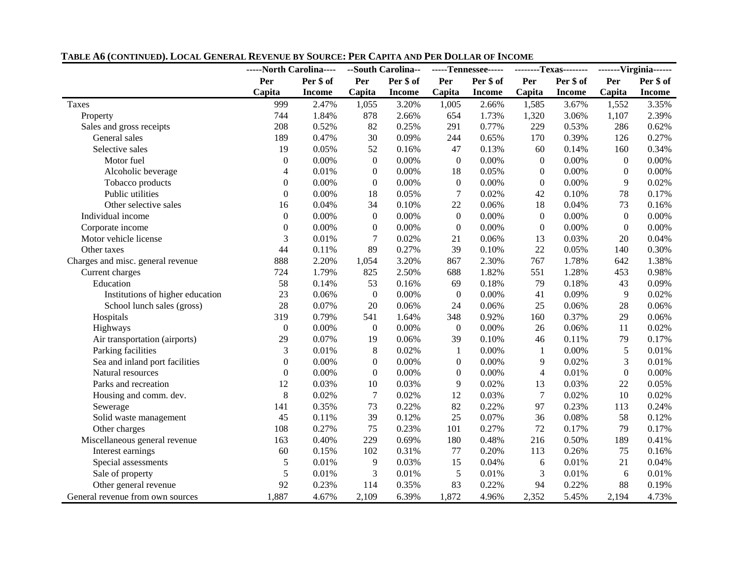|                                   | -----North Carolina---- |               |                  | --South Carolina-- |                  | -----Tennessee----- |                  | --------Texas-------- |                  | -------Virginia------ |  |
|-----------------------------------|-------------------------|---------------|------------------|--------------------|------------------|---------------------|------------------|-----------------------|------------------|-----------------------|--|
|                                   | Per                     | Per \$ of     | Per              | Per \$ of          | Per              | Per \$ of           | Per<br>Per \$ of |                       | Per \$ of<br>Per |                       |  |
|                                   | Capita                  | <b>Income</b> | Capita           | <b>Income</b>      | Capita           | <b>Income</b>       | Capita           | <b>Income</b>         | Capita           | <b>Income</b>         |  |
| Taxes                             | 999                     | 2.47%         | 1,055            | 3.20%              | 1,005            | 2.66%               | 1,585            | 3.67%                 | 1,552            | 3.35%                 |  |
| Property                          | 744                     | 1.84%         | 878              | 2.66%              | 654              | 1.73%               | 1,320            | 3.06%                 | 1,107            | 2.39%                 |  |
| Sales and gross receipts          | 208                     | 0.52%         | 82               | 0.25%              | 291              | 0.77%               | 229              | 0.53%                 | 286              | 0.62%                 |  |
| General sales                     | 189                     | 0.47%         | 30               | 0.09%              | 244              | 0.65%               | 170              | 0.39%                 | 126              | 0.27%                 |  |
| Selective sales                   | 19                      | 0.05%         | 52               | 0.16%              | 47               | 0.13%               | 60               | 0.14%                 | 160              | 0.34%                 |  |
| Motor fuel                        | $\theta$                | 0.00%         | $\boldsymbol{0}$ | 0.00%              | $\boldsymbol{0}$ | 0.00%               | $\boldsymbol{0}$ | 0.00%                 | $\boldsymbol{0}$ | 0.00%                 |  |
| Alcoholic beverage                | 4                       | 0.01%         | $\boldsymbol{0}$ | 0.00%              | 18               | 0.05%               | $\boldsymbol{0}$ | 0.00%                 | $\boldsymbol{0}$ | 0.00%                 |  |
| Tobacco products                  | $\theta$                | 0.00%         | $\boldsymbol{0}$ | 0.00%              | $\boldsymbol{0}$ | 0.00%               | $\overline{0}$   | 0.00%                 | 9                | 0.02%                 |  |
| Public utilities                  | $\Omega$                | 0.00%         | 18               | 0.05%              | 7                | 0.02%               | 42               | 0.10%                 | 78               | 0.17%                 |  |
| Other selective sales             | 16                      | 0.04%         | 34               | 0.10%              | $22\,$           | 0.06%               | 18               | 0.04%                 | 73               | 0.16%                 |  |
| Individual income                 | $\boldsymbol{0}$        | $0.00\%$      | $\boldsymbol{0}$ | 0.00%              | $\boldsymbol{0}$ | 0.00%               | $\boldsymbol{0}$ | 0.00%                 | $\boldsymbol{0}$ | 0.00%                 |  |
| Corporate income                  | $\overline{0}$          | 0.00%         | $\boldsymbol{0}$ | 0.00%              | $\boldsymbol{0}$ | 0.00%               | $\boldsymbol{0}$ | 0.00%                 | $\boldsymbol{0}$ | $0.00\%$              |  |
| Motor vehicle license             | 3                       | 0.01%         | $\overline{7}$   | 0.02%              | 21               | 0.06%               | 13               | 0.03%                 | 20               | 0.04%                 |  |
| Other taxes                       | 44                      | 0.11%         | 89               | 0.27%              | 39               | 0.10%               | 22               | 0.05%                 | 140              | 0.30%                 |  |
| Charges and misc. general revenue | 888                     | 2.20%         | 1,054            | 3.20%              | 867              | 2.30%               | 767              | 1.78%                 | 642              | 1.38%                 |  |
| Current charges                   | 724                     | 1.79%         | 825              | 2.50%              | 688              | 1.82%               | 551              | 1.28%                 | 453              | 0.98%                 |  |
| Education                         | 58                      | 0.14%         | 53               | 0.16%              | 69               | 0.18%               | 79               | 0.18%                 | 43               | 0.09%                 |  |
| Institutions of higher education  | 23                      | 0.06%         | $\boldsymbol{0}$ | 0.00%              | $\boldsymbol{0}$ | 0.00%               | 41               | 0.09%                 | 9                | 0.02%                 |  |
| School lunch sales (gross)        | 28                      | 0.07%         | 20               | 0.06%              | 24               | 0.06%               | 25               | 0.06%                 | 28               | 0.06%                 |  |
| Hospitals                         | 319                     | 0.79%         | 541              | 1.64%              | 348              | 0.92%               | 160              | 0.37%                 | 29               | 0.06%                 |  |
| Highways                          | $\boldsymbol{0}$        | 0.00%         | $\overline{0}$   | 0.00%              | $\overline{0}$   | 0.00%               | 26               | 0.06%                 | 11               | 0.02%                 |  |
| Air transportation (airports)     | 29                      | 0.07%         | 19               | 0.06%              | 39               | 0.10%               | 46               | 0.11%                 | 79               | 0.17%                 |  |
| Parking facilities                | 3                       | 0.01%         | $8\,$            | 0.02%              | $\mathbf{1}$     | 0.00%               | $\mathbf{1}$     | 0.00%                 | $\sqrt{5}$       | 0.01%                 |  |
| Sea and inland port facilities    | $\Omega$                | 0.00%         | $\boldsymbol{0}$ | 0.00%              | $\boldsymbol{0}$ | 0.00%               | $\overline{9}$   | 0.02%                 | $\mathfrak{Z}$   | 0.01%                 |  |
| Natural resources                 | $\overline{0}$          | 0.00%         | $\boldsymbol{0}$ | 0.00%              | $\boldsymbol{0}$ | 0.00%               | $\overline{4}$   | 0.01%                 | $\boldsymbol{0}$ | 0.00%                 |  |
| Parks and recreation              | 12                      | 0.03%         | 10               | 0.03%              | 9                | 0.02%               | 13               | 0.03%                 | 22               | 0.05%                 |  |
| Housing and comm. dev.            | 8                       | 0.02%         | $\overline{7}$   | 0.02%              | 12               | 0.03%               | $\overline{7}$   | 0.02%                 | 10               | 0.02%                 |  |
| Sewerage                          | 141                     | 0.35%         | 73               | 0.22%              | 82               | 0.22%               | 97               | 0.23%                 | 113              | 0.24%                 |  |
| Solid waste management            | 45                      | 0.11%         | 39               | 0.12%              | 25               | 0.07%               | 36               | 0.08%                 | 58               | 0.12%                 |  |
| Other charges                     | 108                     | 0.27%         | 75               | 0.23%              | 101              | 0.27%               | 72               | 0.17%                 | 79               | 0.17%                 |  |
| Miscellaneous general revenue     | 163                     | 0.40%         | 229              | 0.69%              | 180              | 0.48%               | 216              | 0.50%                 | 189              | 0.41%                 |  |
| Interest earnings                 | 60                      | 0.15%         | 102              | 0.31%              | 77               | 0.20%               | 113              | 0.26%                 | 75               | 0.16%                 |  |
| Special assessments               | 5                       | 0.01%         | 9                | 0.03%              | 15               | 0.04%               | 6                | 0.01%                 | 21               | 0.04%                 |  |
| Sale of property                  | 5                       | 0.01%         | 3                | 0.01%              | 5                | 0.01%               | 3                | 0.01%                 | 6                | 0.01%                 |  |
| Other general revenue             | 92                      | 0.23%         | 114              | 0.35%              | 83               | 0.22%               | 94               | 0.22%                 | 88               | 0.19%                 |  |
| General revenue from own sources  | 1,887                   | 4.67%         | 2,109            | 6.39%              | 1,872            | 4.96%               | 2,352            | 5.45%                 | 2,194            | 4.73%                 |  |

#### **TABLE A6 (CONTINUED). LOCAL GENERAL REVENUE BY SOURCE: PER CAPITA AND PER DOLLAR OF INCOME**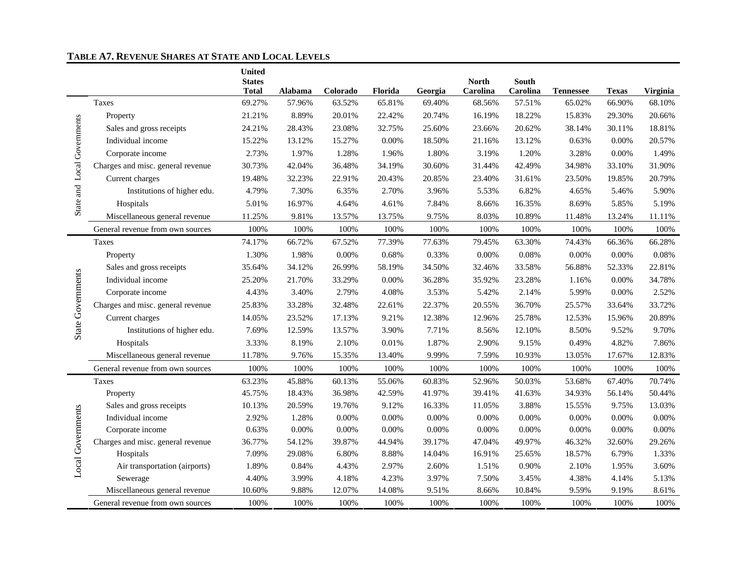#### **TABLE A7. REVENUE SHARES AT STATE AND LOCAL LEVELS**

|                             |                                   | <b>United</b><br><b>States</b> |          |          |         |         | <b>North</b> | <b>South</b> |                  |              |          |
|-----------------------------|-----------------------------------|--------------------------------|----------|----------|---------|---------|--------------|--------------|------------------|--------------|----------|
|                             |                                   | <b>Total</b>                   | Alabama  | Colorado | Florida | Georgia | Carolina     | Carolina     | <b>Tennessee</b> | <b>Texas</b> | Virginia |
|                             | Taxes                             | 69.27%                         | 57.96%   | 63.52%   | 65.81%  | 69.40%  | 68.56%       | 57.51%       | 65.02%           | 66.90%       | 68.10%   |
|                             | Property                          | 21.21%                         | 8.89%    | 20.01%   | 22.42%  | 20.74%  | 16.19%       | 18.22%       | 15.83%           | 29.30%       | 20.66%   |
|                             | Sales and gross receipts          | 24.21%                         | 28.43%   | 23.08%   | 32.75%  | 25.60%  | 23.66%       | 20.62%       | 38.14%           | 30.11%       | 18.81%   |
| State and Local Governments | Individual income                 | 15.22%                         | 13.12%   | 15.27%   | 0.00%   | 18.50%  | 21.16%       | 13.12%       | 0.63%            | 0.00%        | 20.57%   |
|                             | Corporate income                  | 2.73%                          | 1.97%    | 1.28%    | 1.96%   | 1.80%   | 3.19%        | 1.20%        | 3.28%            | 0.00%        | 1.49%    |
|                             | Charges and misc. general revenue | 30.73%                         | 42.04%   | 36.48%   | 34.19%  | 30.60%  | 31.44%       | 42.49%       | 34.98%           | 33.10%       | 31.90%   |
|                             | Current charges                   | 19.48%                         | 32.23%   | 22.91%   | 20.43%  | 20.85%  | 23.40%       | 31.61%       | 23.50%           | 19.85%       | 20.79%   |
|                             | Institutions of higher edu.       | 4.79%                          | 7.30%    | 6.35%    | 2.70%   | 3.96%   | 5.53%        | 6.82%        | 4.65%            | 5.46%        | 5.90%    |
|                             | Hospitals                         | 5.01%                          | 16.97%   | 4.64%    | 4.61%   | 7.84%   | 8.66%        | 16.35%       | 8.69%            | 5.85%        | 5.19%    |
|                             | Miscellaneous general revenue     | 11.25%                         | 9.81%    | 13.57%   | 13.75%  | 9.75%   | 8.03%        | 10.89%       | 11.48%           | 13.24%       | 11.11%   |
|                             | General revenue from own sources  | 100%                           | 100%     | 100%     | 100%    | 100%    | 100%         | 100%         | 100%             | 100%         | 100%     |
|                             | Taxes                             | 74.17%                         | 66.72%   | 67.52%   | 77.39%  | 77.63%  | 79.45%       | 63.30%       | 74.43%           | 66.36%       | 66.28%   |
|                             | Property                          | 1.30%                          | 1.98%    | $0.00\%$ | 0.68%   | 0.33%   | 0.00%        | 0.08%        | 0.00%            | 0.00%        | 0.08%    |
|                             | Sales and gross receipts          | 35.64%                         | 34.12%   | 26.99%   | 58.19%  | 34.50%  | 32.46%       | 33.58%       | 56.88%           | 52.33%       | 22.81%   |
| State Governments           | Individual income                 | 25.20%                         | 21.70%   | 33.29%   | 0.00%   | 36.28%  | 35.92%       | 23.28%       | 1.16%            | 0.00%        | 34.78%   |
|                             | Corporate income                  | 4.43%                          | 3.40%    | 2.79%    | 4.08%   | 3.53%   | 5.42%        | 2.14%        | 5.99%            | 0.00%        | 2.52%    |
|                             | Charges and misc. general revenue | 25.83%                         | 33.28%   | 32.48%   | 22.61%  | 22.37%  | 20.55%       | 36.70%       | 25.57%           | 33.64%       | 33.72%   |
|                             | Current charges                   | 14.05%                         | 23.52%   | 17.13%   | 9.21%   | 12.38%  | 12.96%       | 25.78%       | 12.53%           | 15.96%       | 20.89%   |
|                             | Institutions of higher edu.       | 7.69%                          | 12.59%   | 13.57%   | 3.90%   | 7.71%   | 8.56%        | 12.10%       | 8.50%            | 9.52%        | 9.70%    |
|                             | Hospitals                         | 3.33%                          | 8.19%    | 2.10%    | 0.01%   | 1.87%   | 2.90%        | 9.15%        | 0.49%            | 4.82%        | 7.86%    |
|                             | Miscellaneous general revenue     | 11.78%                         | 9.76%    | 15.35%   | 13.40%  | 9.99%   | 7.59%        | 10.93%       | 13.05%           | 17.67%       | 12.83%   |
|                             | General revenue from own sources  | 100%                           | 100%     | 100%     | 100%    | 100%    | 100%         | 100%         | 100%             | 100%         | 100%     |
|                             | Taxes                             | 63.23%                         | 45.88%   | 60.13%   | 55.06%  | 60.83%  | 52.96%       | 50.03%       | 53.68%           | 67.40%       | 70.74%   |
|                             | Property                          | 45.75%                         | 18.43%   | 36.98%   | 42.59%  | 41.97%  | 39.41%       | 41.63%       | 34.93%           | 56.14%       | 50.44%   |
|                             | Sales and gross receipts          | 10.13%                         | 20.59%   | 19.76%   | 9.12%   | 16.33%  | 11.05%       | 3.88%        | 15.55%           | 9.75%        | 13.03%   |
| Local Governments           | Individual income                 | 2.92%                          | 1.28%    | 0.00%    | 0.00%   | 0.00%   | $0.00\%$     | 0.00%        | 0.00%            | 0.00%        | 0.00%    |
|                             | Corporate income                  | 0.63%                          | $0.00\%$ | $0.00\%$ | 0.00%   | 0.00%   | 0.00%        | $0.00\%$     | 0.00%            | $0.00\%$     | $0.00\%$ |
|                             | Charges and misc. general revenue | 36.77%                         | 54.12%   | 39.87%   | 44.94%  | 39.17%  | 47.04%       | 49.97%       | 46.32%           | 32.60%       | 29.26%   |
|                             | Hospitals                         | 7.09%                          | 29.08%   | 6.80%    | 8.88%   | 14.04%  | 16.91%       | 25.65%       | 18.57%           | 6.79%        | 1.33%    |
|                             | Air transportation (airports)     | 1.89%                          | 0.84%    | 4.43%    | 2.97%   | 2.60%   | 1.51%        | 0.90%        | 2.10%            | 1.95%        | 3.60%    |
|                             | Sewerage                          | 4.40%                          | 3.99%    | 4.18%    | 4.23%   | 3.97%   | 7.50%        | 3.45%        | 4.38%            | 4.14%        | 5.13%    |
|                             | Miscellaneous general revenue     | 10.60%                         | 9.88%    | 12.07%   | 14.08%  | 9.51%   | 8.66%        | 10.84%       | 9.59%            | 9.19%        | 8.61%    |
|                             | General revenue from own sources  | 100%                           | 100%     | 100%     | 100%    | 100%    | 100%         | 100%         | 100%             | 100%         | 100%     |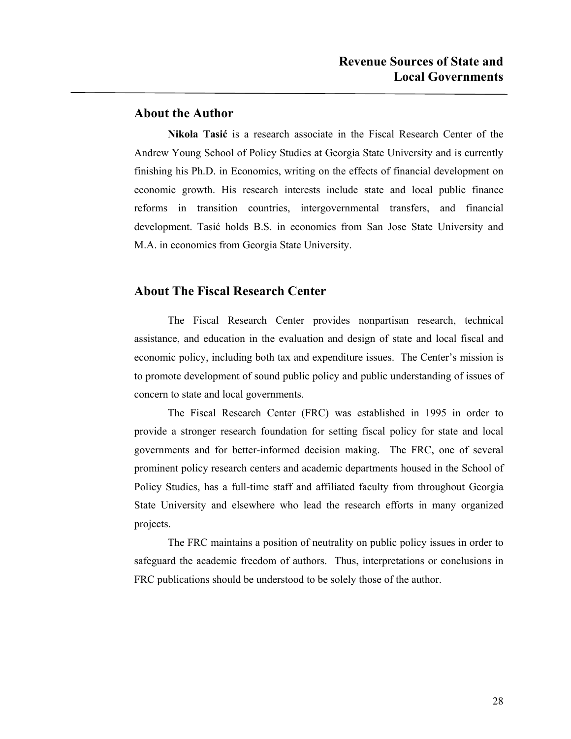### **About the Author**

**Nikola Tasić** is a research associate in the Fiscal Research Center of the Andrew Young School of Policy Studies at Georgia State University and is currently finishing his Ph.D. in Economics, writing on the effects of financial development on economic growth. His research interests include state and local public finance reforms in transition countries, intergovernmental transfers, and financial development. Tasić holds B.S. in economics from San Jose State University and M.A. in economics from Georgia State University.

### **About The Fiscal Research Center**

 The Fiscal Research Center provides nonpartisan research, technical assistance, and education in the evaluation and design of state and local fiscal and economic policy, including both tax and expenditure issues. The Center's mission is to promote development of sound public policy and public understanding of issues of concern to state and local governments.

 The Fiscal Research Center (FRC) was established in 1995 in order to provide a stronger research foundation for setting fiscal policy for state and local governments and for better-informed decision making. The FRC, one of several prominent policy research centers and academic departments housed in the School of Policy Studies, has a full-time staff and affiliated faculty from throughout Georgia State University and elsewhere who lead the research efforts in many organized projects.

 The FRC maintains a position of neutrality on public policy issues in order to safeguard the academic freedom of authors. Thus, interpretations or conclusions in FRC publications should be understood to be solely those of the author.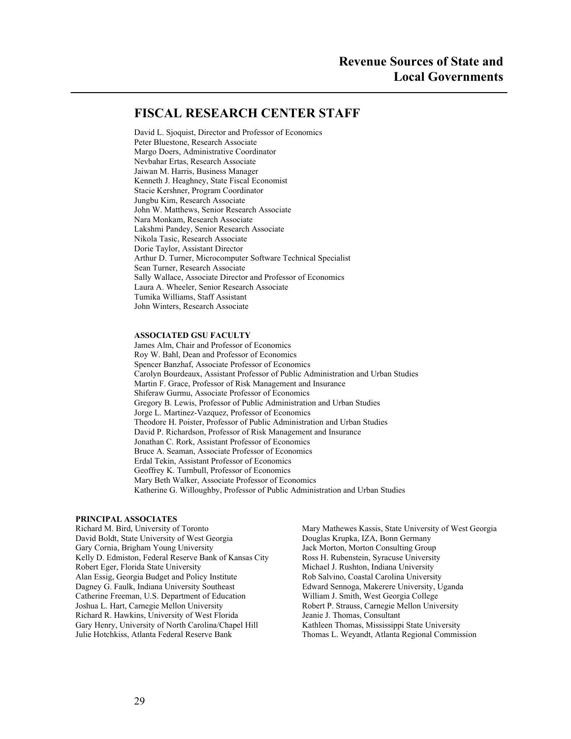### **FISCAL RESEARCH CENTER STAFF**

David L. Sjoquist, Director and Professor of Economics Peter Bluestone, Research Associate Margo Doers, Administrative Coordinator Nevbahar Ertas, Research Associate Jaiwan M. Harris, Business Manager Kenneth J. Heaghney, State Fiscal Economist Stacie Kershner, Program Coordinator Jungbu Kim, Research Associate John W. Matthews, Senior Research Associate Nara Monkam, Research Associate Lakshmi Pandey, Senior Research Associate Nikola Tasic, Research Associate Dorie Taylor, Assistant Director Arthur D. Turner, Microcomputer Software Technical Specialist Sean Turner, Research Associate Sally Wallace, Associate Director and Professor of Economics Laura A. Wheeler, Senior Research Associate Tumika Williams, Staff Assistant John Winters, Research Associate

#### **ASSOCIATED GSU FACULTY**

James Alm, Chair and Professor of Economics Roy W. Bahl, Dean and Professor of Economics Spencer Banzhaf, Associate Professor of Economics Carolyn Bourdeaux, Assistant Professor of Public Administration and Urban Studies Martin F. Grace, Professor of Risk Management and Insurance Shiferaw Gurmu, Associate Professor of Economics Gregory B. Lewis, Professor of Public Administration and Urban Studies Jorge L. Martinez-Vazquez, Professor of Economics Theodore H. Poister, Professor of Public Administration and Urban Studies David P. Richardson, Professor of Risk Management and Insurance Jonathan C. Rork, Assistant Professor of Economics Bruce A. Seaman, Associate Professor of Economics Erdal Tekin, Assistant Professor of Economics Geoffrey K. Turnbull, Professor of Economics Mary Beth Walker, Associate Professor of Economics Katherine G. Willoughby, Professor of Public Administration and Urban Studies

# **PRINCIPAL ASSOCIATES**

David Boldt, State University of West Georgia Gary Cornia, Brigham Young University Jack Morton, Morton Consulting Group Kelly D. Edmiston, Federal Reserve Bank of Kansas City Ross H. Rubenstein, Syracuse University Robert Eger, Florida State University **Michael J. Rushton, Indiana University** Michael J. Rushton, Indiana University Alan Essig, Georgia Budget and Policy Institute Rob Salvino, Coastal Carolina University Dagney G. Faulk, Indiana University Southeast Edward Sennoga, Makerere University, Uganda Catherine Freeman, U.S. Department of Education William J. Smith, West Georgia College Joshua L. Hart, Carnegie Mellon University Robert P. Strauss, Carnegie Mellon University Richard R. Hawkins, University of West Florida Jeanie J. Thomas, Consultant Gary Henry, University of North Carolina/Chapel Hill Kathleen Thomas, Mississippi State University Julie Hotchkiss, Atlanta Federal Reserve Bank Thomas L. Weyandt, Atlanta Regional Commission

Mary Mathewes Kassis, State University of West Georgia<br>Douglas Krupka, IZA, Bonn Germany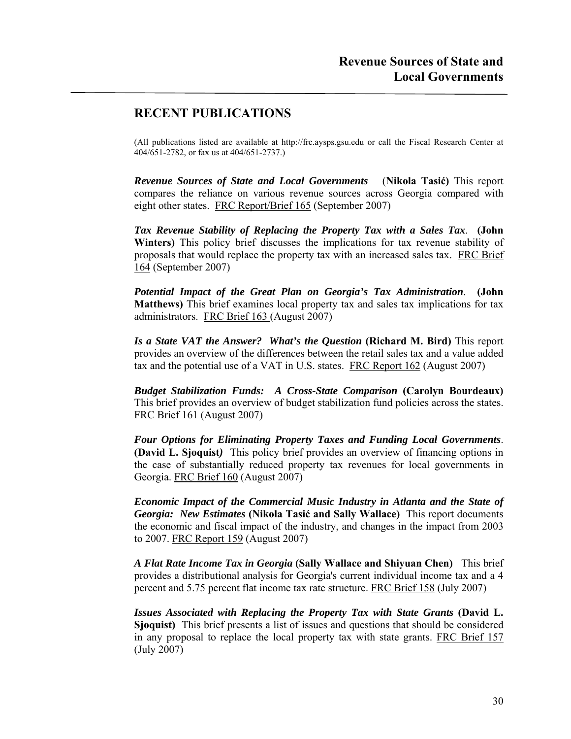### **RECENT PUBLICATIONS**

(All publications listed are available at http://frc.aysps.gsu.edu or call the Fiscal Research Center at 404/651-2782, or fax us at 404/651-2737.)

*Revenue Sources of State and Local Governments* (**Nikola Tasić)** This report compares the reliance on various revenue sources across Georgia compared with eight other states. FRC Report/Brief 165 (September 2007)

*Tax Revenue Stability of Replacing the Property Tax with a Sales Tax*. **(John Winters)** This policy brief discusses the implications for tax revenue stability of proposals that would replace the property tax with an increased sales tax. FRC Brief 164 (September 2007)

*Potential Impact of the Great Plan on Georgia's Tax Administration*. **(John Matthews)** This brief examines local property tax and sales tax implications for tax administrators. FRC Brief 163 (August 2007)

*Is a State VAT the Answer? What's the Question* **(Richard M. Bird)** This report provides an overview of the differences between the retail sales tax and a value added tax and the potential use of a VAT in U.S. states. FRC Report 162 (August 2007)

*Budget Stabilization Funds: A Cross-State Comparison* **(Carolyn Bourdeaux)** This brief provides an overview of budget stabilization fund policies across the states. FRC Brief 161 (August 2007)

*Four Options for Eliminating Property Taxes and Funding Local Governments*. **(David L. Sjoquist***)* This policy brief provides an overview of financing options in the case of substantially reduced property tax revenues for local governments in Georgia. FRC Brief 160 (August 2007)

*Economic Impact of the Commercial Music Industry in Atlanta and the State of Georgia: New Estimates* **(Nikola Tasić and Sally Wallace)** This report documents the economic and fiscal impact of the industry, and changes in the impact from 2003 to 2007. FRC Report 159 (August 2007)

*A Flat Rate Income Tax in Georgia* **(Sally Wallace and Shiyuan Chen)** This brief provides a distributional analysis for Georgia's current individual income tax and a 4 percent and 5.75 percent flat income tax rate structure. FRC Brief 158 (July 2007)

*Issues Associated with Replacing the Property Tax with State Grants* **(David L. Sjoquist)** This brief presents a list of issues and questions that should be considered in any proposal to replace the local property tax with state grants. FRC Brief 157 (July 2007)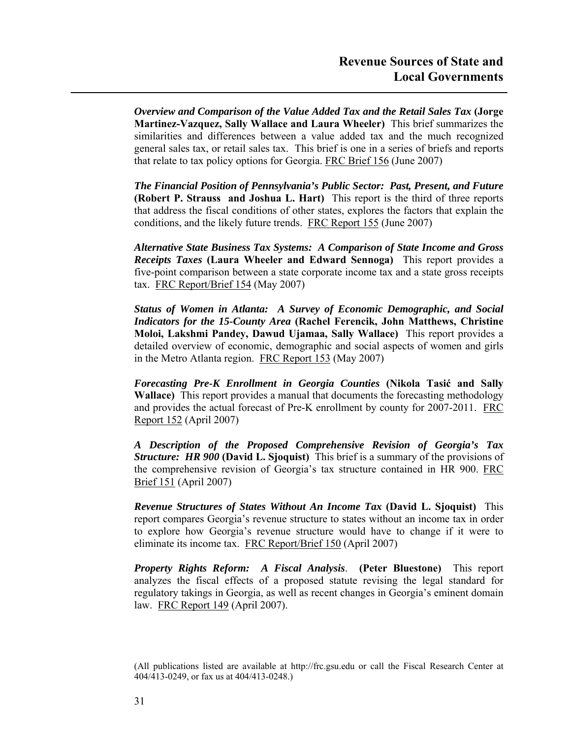*Overview and Comparison of the Value Added Tax and the Retail Sales Tax* **(Jorge Martinez-Vazquez, Sally Wallace and Laura Wheeler)** This brief summarizes the similarities and differences between a value added tax and the much recognized general sales tax, or retail sales tax. This brief is one in a series of briefs and reports that relate to tax policy options for Georgia. FRC Brief 156 (June 2007)

*The Financial Position of Pennsylvania's Public Sector: Past, Present, and Future* **(Robert P. Strauss and Joshua L. Hart)** This report is the third of three reports that address the fiscal conditions of other states, explores the factors that explain the conditions, and the likely future trends. FRC Report 155 (June 2007)

*Alternative State Business Tax Systems: A Comparison of State Income and Gross Receipts Taxes* **(Laura Wheeler and Edward Sennoga)** This report provides a five-point comparison between a state corporate income tax and a state gross receipts tax. FRC Report/Brief 154 (May 2007)

*Status of Women in Atlanta: A Survey of Economic Demographic, and Social Indicators for the 15-County Area* **(Rachel Ferencik, John Matthews, Christine Moloi, Lakshmi Pandey, Dawud Ujamaa, Sally Wallace)** This report provides a detailed overview of economic, demographic and social aspects of women and girls in the Metro Atlanta region. FRC Report 153 (May 2007)

*Forecasting Pre-K Enrollment in Georgia Counties* **(Nikola Tasić and Sally Wallace)** This report provides a manual that documents the forecasting methodology and provides the actual forecast of Pre-K enrollment by county for 2007-2011. FRC Report 152 (April 2007)

*A Description of the Proposed Comprehensive Revision of Georgia's Tax Structure: HR 900* **(David L. Sjoquist)** This brief is a summary of the provisions of the comprehensive revision of Georgia's tax structure contained in HR 900. FRC Brief 151 (April 2007)

*Revenue Structures of States Without An Income Tax* **(David L. Sjoquist)** This report compares Georgia's revenue structure to states without an income tax in order to explore how Georgia's revenue structure would have to change if it were to eliminate its income tax. FRC Report/Brief 150 (April 2007)

*Property Rights Reform: A Fiscal Analysis*. **(Peter Bluestone)** This report analyzes the fiscal effects of a proposed statute revising the legal standard for regulatory takings in Georgia, as well as recent changes in Georgia's eminent domain law. FRC Report 149 (April 2007).

<sup>(</sup>All publications listed are available at http://frc.gsu.edu or call the Fiscal Research Center at 404/413-0249, or fax us at 404/413-0248.)